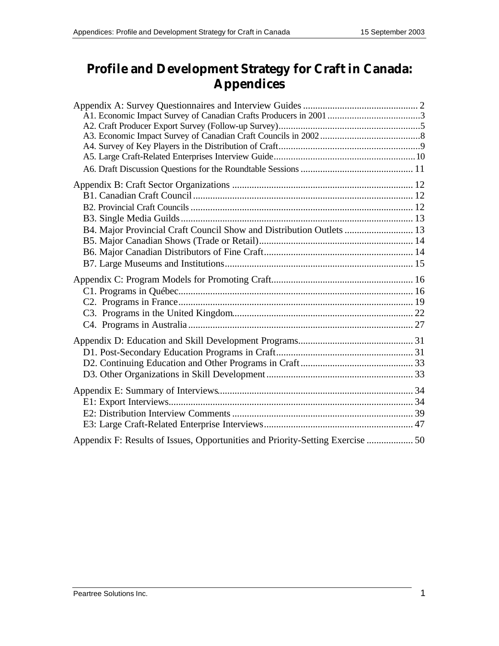# **Profile and Development Strategy for Craft in Canada: Appendices**

| B4. Major Provincial Craft Council Show and Distribution Outlets  13 |                                                                                |  |
|----------------------------------------------------------------------|--------------------------------------------------------------------------------|--|
|                                                                      |                                                                                |  |
|                                                                      |                                                                                |  |
|                                                                      |                                                                                |  |
|                                                                      | Appendix F: Results of Issues, Opportunities and Priority-Setting Exercise  50 |  |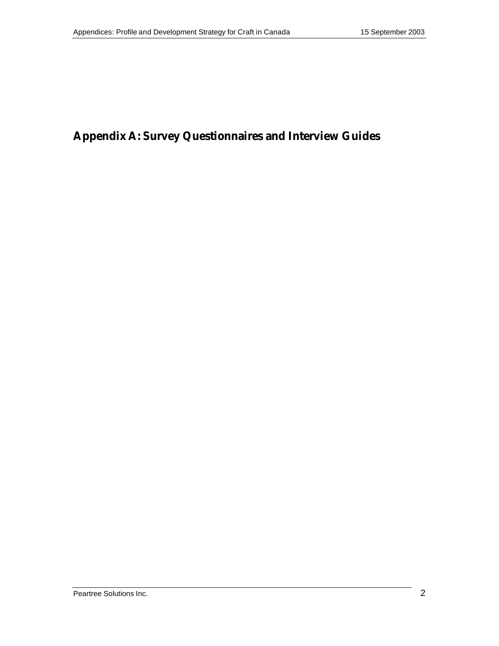# **Appendix A: Survey Questionnaires and Interview Guides**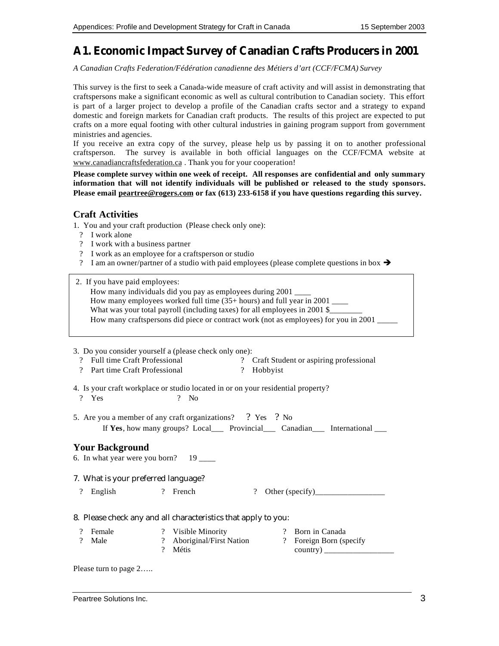## **A1. Economic Impact Survey of Canadian Crafts Producers in 2001**

*A Canadian Crafts Federation/Fédération canadienne des Métiers d'art (CCF/FCMA) Survey*

This survey is the first to seek a Canada-wide measure of craft activity and will assist in demonstrating that craftspersons make a significant economic as well as cultural contribution to Canadian society. This effort is part of a larger project to develop a profile of the Canadian crafts sector and a strategy to expand domestic and foreign markets for Canadian craft products. The results of this project are expected to put crafts on a more equal footing with other cultural industries in gaining program support from government ministries and agencies.

If you receive an extra copy of the survey, please help us by passing it on to another professional craftsperson. The survey is available in both official languages on the CCF/FCMA website at www.canadiancraftsfederation.ca . Thank you for your cooperation!

**Please complete survey within one week of receipt. All responses are confidential and only summary information that will not identify individuals will be published or released to the study sponsors. Please email peartree@rogers.com or fax (613) 233-6158 if you have questions regarding this survey.**

#### **Craft Activities**

1. You and your craft production (Please check only one):

- ? I work alone
- ? I work with a business partner
- ? I work as an employee for a craftsperson or studio
- ? I am an owner/partner of a studio with paid employees (please complete questions in box  $\rightarrow$
- 2. If you have paid employees:
	- How many individuals did you pay as employees during 2001 \_\_\_\_

How many employees worked full time  $(35+)$  hours) and full year in 2001 \_\_\_\_\_

What was your total payroll (including taxes) for all employees in 2001 \$

How many craftspersons did piece or contract work (not as employees) for you in 2001 \_\_\_\_\_

#### 3. Do you consider yourself a (please check only one):

- ? Full time Craft Professional ? Craft Student or aspiring professional ? Hobbyist
- ? Part time Craft Professional
- 4. Is your craft workplace or studio located in or on your residential property? ? Yes ? No
- 5. Are you a member of any craft organizations? ? Yes ? No If **Yes**, how many groups? Local Provincial Canadian International

#### **Your Background**

6. In what year were you born?  $19$  \_\_\_\_

#### 7. What is your preferred language?

? English ? French ? Other (specify)\_\_\_\_\_\_\_\_\_\_\_\_\_\_\_\_\_

#### 8. Please check any and all characteristics that apply to you:

? Female ? Male ? Visible Minority ? Aboriginal/First Nation ? Métis ? Born in Canada ? Foreign Born (specify country) \_\_\_\_\_\_\_\_\_\_\_\_\_\_\_\_\_

Please turn to page 2…..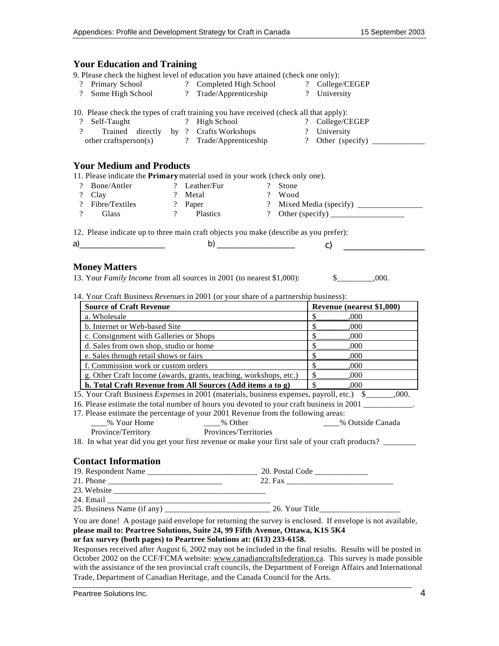| <b>Your Education and Training</b>                                                                                                                                                                                                                                  |                                                                                                                                  |                                 |
|---------------------------------------------------------------------------------------------------------------------------------------------------------------------------------------------------------------------------------------------------------------------|----------------------------------------------------------------------------------------------------------------------------------|---------------------------------|
| 9. Please check the highest level of education you have attained (check one only):<br>$\overline{?}$<br>$\overline{\mathcal{L}}$                                                                                                                                    | Primary School 2 Completed High School 2 College/CEGEP<br>Some High School ? Trade/Apprenticeship ? University                   |                                 |
| 10. Please check the types of craft training you have received (check all that apply):<br>$\overline{\mathcal{L}}$<br>Self-Taught<br>$\overline{\mathcal{L}}$                                                                                                       | ? High School                                                                                                                    | ? College/CEGEP                 |
| <b>Your Medium and Products</b>                                                                                                                                                                                                                                     |                                                                                                                                  |                                 |
| 11. Please indicate the Primary material used in your work (check only one).                                                                                                                                                                                        |                                                                                                                                  |                                 |
| Bone/Antler<br>$\overline{?}$                                                                                                                                                                                                                                       | ? Leather/Fur<br>$\mathcal{P}$<br>Stone                                                                                          |                                 |
| $\overline{\mathcal{L}}$<br>? Metal<br>Clay                                                                                                                                                                                                                         | ? Wood                                                                                                                           |                                 |
| $\overline{?}$<br>Fibre/Textiles                                                                                                                                                                                                                                    | ? Paper                                                                                                                          |                                 |
| $\overline{\mathcal{L}}$<br>Glass                                                                                                                                                                                                                                   | ? Plastics                                                                                                                       | ? Other (specify) $\frac{1}{2}$ |
| 12. Please indicate up to three main craft objects you make (describe as you prefer):                                                                                                                                                                               |                                                                                                                                  |                                 |
|                                                                                                                                                                                                                                                                     |                                                                                                                                  |                                 |
|                                                                                                                                                                                                                                                                     |                                                                                                                                  | $\mathbf{c}$ )                  |
|                                                                                                                                                                                                                                                                     |                                                                                                                                  |                                 |
| <b>Money Matters</b>                                                                                                                                                                                                                                                |                                                                                                                                  |                                 |
| 13. Your Family Income from all sources in 2001 (to nearest \$1,000):                                                                                                                                                                                               |                                                                                                                                  | \$.000.                         |
| 14. Your Craft Business Revenues in 2001 (or your share of a partnership business):                                                                                                                                                                                 |                                                                                                                                  |                                 |
| Source of Craft Revenue                                                                                                                                                                                                                                             |                                                                                                                                  | Revenue (nearest \$1,000)       |
| a. Wholesale                                                                                                                                                                                                                                                        |                                                                                                                                  | $\mathsf{\$}$<br>,000           |
| b. Internet or Web-based Site                                                                                                                                                                                                                                       |                                                                                                                                  | $\mathsf{\$}$<br>000            |
| c. Consignment with Galleries or Shops                                                                                                                                                                                                                              |                                                                                                                                  | $\mathsf{\$}$<br>.000           |
| d. Sales from own shop, studio or home                                                                                                                                                                                                                              |                                                                                                                                  | $\mathsf{\$}$<br>000            |
| $\mathsf{\$}$<br>e. Sales through retail shows or fairs<br>000                                                                                                                                                                                                      |                                                                                                                                  |                                 |
| f. Commission work or custom orders                                                                                                                                                                                                                                 |                                                                                                                                  | $\mathsf{\$}$<br>000            |
| g. Other Craft Income (awards, grants, teaching, workshops, etc.)                                                                                                                                                                                                   |                                                                                                                                  | $\mathcal{S}_{-}$<br>000        |
| h. Total Craft Revenue from All Sources (Add items a to g)                                                                                                                                                                                                          |                                                                                                                                  | $\mathbb{S}$<br>.000            |
| 15. Your Craft Business Expenses in 2001 (materials, business expenses, payroll, etc.) \$_______,000.                                                                                                                                                               |                                                                                                                                  |                                 |
| 16. Please estimate the total number of hours you devoted to your craft business in 2001                                                                                                                                                                            |                                                                                                                                  |                                 |
| 17. Please estimate the percentage of your 2001 Revenue from the following areas:                                                                                                                                                                                   |                                                                                                                                  |                                 |
|                                                                                                                                                                                                                                                                     | % Your Home $\qquad \qquad \qquad -\text{% Other} \qquad \qquad \qquad \text{—\text{% Outside Canada}}$<br>Provinces/Territories |                                 |
| Province/Territory<br>18. In what year did you get your first revenue or make your first sale of your craft products?                                                                                                                                               |                                                                                                                                  |                                 |
|                                                                                                                                                                                                                                                                     |                                                                                                                                  |                                 |
| <b>Contact Information</b>                                                                                                                                                                                                                                          |                                                                                                                                  |                                 |
|                                                                                                                                                                                                                                                                     |                                                                                                                                  |                                 |
|                                                                                                                                                                                                                                                                     |                                                                                                                                  |                                 |
|                                                                                                                                                                                                                                                                     |                                                                                                                                  |                                 |
|                                                                                                                                                                                                                                                                     |                                                                                                                                  |                                 |
|                                                                                                                                                                                                                                                                     |                                                                                                                                  |                                 |
| You are done! A postage paid envelope for returning the survey is enclosed. If envelope is not available,<br>please mail to: Peartree Solutions, Suite 24, 99 Fifth Avenue, Ottawa, K1S 5K4<br>or fax survey (both pages) to Peartree Solutions at: (613) 233-6158. |                                                                                                                                  |                                 |
| Responses received after August 6, 2002 may not be included in the final results. Results will be posted in                                                                                                                                                         |                                                                                                                                  |                                 |
| October 2002 on the CCF/FCMA website: www.canadiancraftsfederation.ca. This survey is made possible                                                                                                                                                                 |                                                                                                                                  |                                 |
| with the assistance of the ten provincial craft councils, the Department of Foreign Affairs and International                                                                                                                                                       |                                                                                                                                  |                                 |
| Trade, Department of Canadian Heritage, and the Canada Council for the Arts.                                                                                                                                                                                        |                                                                                                                                  |                                 |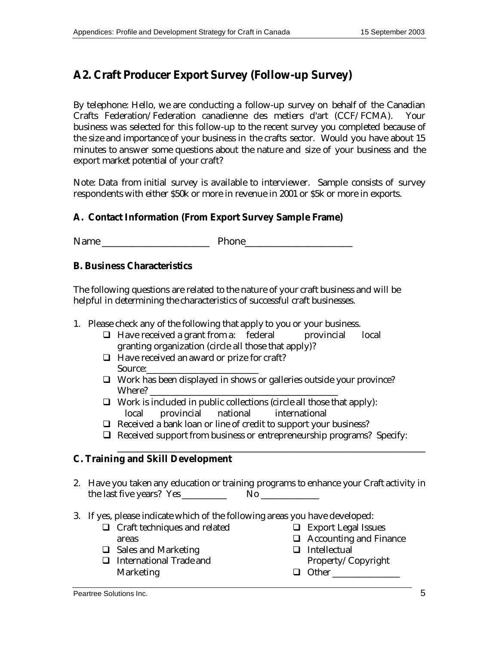# **A2. Craft Producer Export Survey (Follow-up Survey)**

By telephone: Hello, we are conducting a follow-up survey on behalf of the Canadian Crafts Federation/Federation canadienne des metiers d'art (CCF/FCMA). business was selected for this follow-up to the recent survey you completed because of the size and importance of your business in the crafts sector. Would you have about 15 minutes to answer some questions about the nature and size of your business and the export market potential of your craft?

Note: Data from initial survey is available to interviewer. Sample consists of survey respondents with either \$50k or more in revenue in 2001 or \$5k or more in exports.

#### **A. Contact Information (From Export Survey Sample Frame)**

Name **Name Phone** 

#### **B. Business Characteristics**

The following questions are related to the nature of your craft business and will be helpful in determining the characteristics of successful craft businesses.

- 1. Please check any of the following that apply to you or your business.
	- $\Box$  Have received a grant from a: federal provincial local granting organization (circle all those that apply)?
	- $\Box$  Have received an award or prize for craft? Source:\_\_\_\_\_\_\_\_\_\_\_\_\_\_\_\_\_\_\_\_\_\_\_\_\_
	- $\Box$  Work has been displayed in shows or galleries outside your province? Where?
	- $\Box$  Work is included in public collections (circle all those that apply): local provincial national international
	- $\Box$  Received a bank loan or line of credit to support your business?
	- $\Box$  Received support from business or entrepreneurship programs? Specify:

\_\_\_\_\_\_\_\_\_\_\_\_\_\_\_\_\_\_\_\_\_\_\_\_\_\_\_\_\_\_\_\_\_\_\_\_\_\_\_\_\_\_\_\_\_\_\_\_\_\_\_\_\_\_\_\_\_\_\_\_\_\_\_

#### **C. Training and Skill Development**

- 2. Have you taken any education or training programs to enhance your Craft activity in the last five years? Yes \_\_\_\_\_\_\_\_\_\_ No \_\_\_\_\_\_\_\_\_\_\_\_\_
- 3. If yes, please indicate which of the following areas you have developed:
	- $\Box$  Craft techniques and related areas  $\Box$  Sales and Marketing
- $\Box$  Export Legal Issues
- $\Box$  Accounting and Finance
- $\Box$  International Trade and Marketing  $\Box$  Intellectual Property/Copyright q Other \_\_\_\_\_\_\_\_\_\_\_\_\_\_\_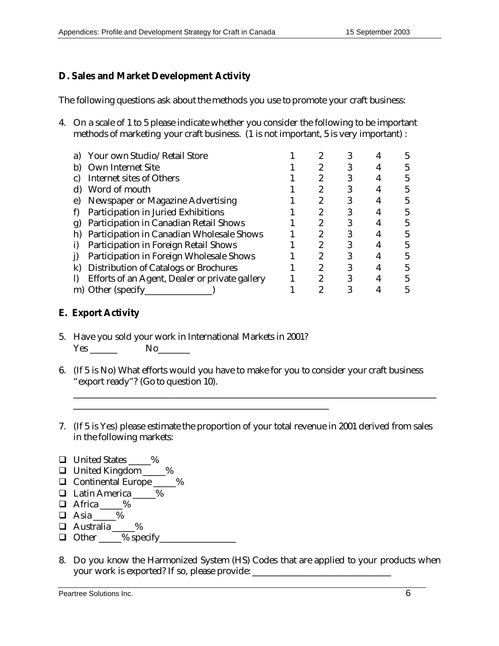## **D. Sales and Market Development Activity**

The following questions ask about the methods you use to promote your craft business:

4. On a scale of 1 to 5 please indicate whether you consider the following to be important methods of marketing your craft business. (1 is not important, 5 is very important) :

| Your own Studio/Retail Store                   |                                                        |  |  |
|------------------------------------------------|--------------------------------------------------------|--|--|
| <b>Own Internet Site</b>                       |                                                        |  |  |
| <b>Internet sites of Others</b>                |                                                        |  |  |
| Word of mouth                                  |                                                        |  |  |
|                                                |                                                        |  |  |
| Participation in Juried Exhibitions            |                                                        |  |  |
| Participation in Canadian Retail Shows         |                                                        |  |  |
| Participation in Canadian Wholesale Shows      |                                                        |  |  |
| Participation in Foreign Retail Shows          |                                                        |  |  |
| Participation in Foreign Wholesale Shows       |                                                        |  |  |
| <b>Distribution of Catalogs or Brochures</b>   |                                                        |  |  |
| Efforts of an Agent, Dealer or private gallery |                                                        |  |  |
|                                                |                                                        |  |  |
|                                                | Newspaper or Magazine Advertising<br>m) Other (specify |  |  |

## **E. Export Activity**

5. Have you sold your work in International Markets in 2001? Yes \_\_\_\_\_\_ No\_\_\_\_\_\_\_

\_\_\_\_\_\_\_\_\_\_\_\_\_\_\_\_\_\_\_\_\_\_\_\_\_\_\_\_\_\_\_\_\_\_\_\_\_\_\_\_\_\_\_\_\_\_\_\_\_\_\_\_\_\_\_\_\_

- 6. (If 5 is No) What efforts would you have to make for you to consider your craft business "export ready"? (Go to question 10).
- 7. (If 5 is Yes) please estimate the proportion of your total revenue in 2001 derived from sales in the following markets:

\_\_\_\_\_\_\_\_\_\_\_\_\_\_\_\_\_\_\_\_\_\_\_\_\_\_\_\_\_\_\_\_\_\_\_\_\_\_\_\_\_\_\_\_\_\_\_\_\_\_\_\_\_\_\_\_\_\_\_\_\_\_\_\_\_\_\_\_\_\_\_\_\_\_\_\_\_\_\_\_\_

- □ United States \_\_\_\_%
- □ United Kingdom \_\_\_\_%
- □ Continental Europe \_\_\_\_%
- □ Latin America \_\_\_\_\_%
- $\Box$  Africa  $\_\_\_\%$
- $\Box$  Asia %
- $\Box$  Australia %
- $\Box$  Other  $\_\_\%$  specify
- 8. Do you know the Harmonized System (HS) Codes that are applied to your products when your work is exported? If so, please provide: \_\_\_\_\_\_\_\_\_\_\_\_\_\_\_\_\_\_\_\_\_\_\_\_\_\_\_\_\_\_\_\_\_\_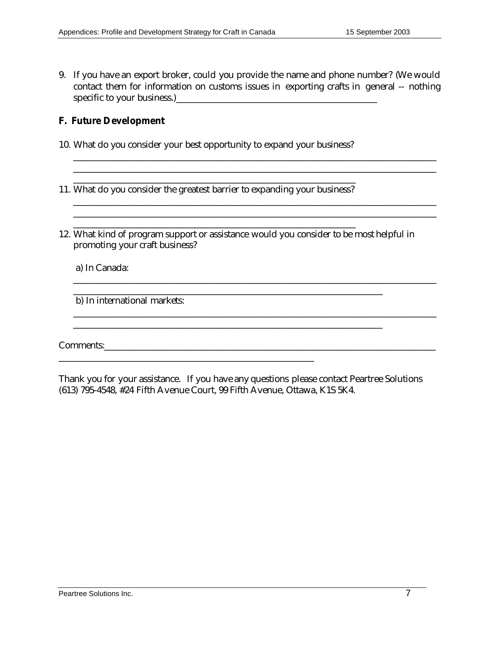9. If you have an export broker, could you provide the name and phone number? (We would contact them for information on customs issues in exporting crafts in general -- nothing specific to your business.)\_\_\_\_\_\_\_\_\_\_\_\_\_\_\_\_\_\_\_\_\_\_\_\_\_\_\_\_\_\_\_\_\_\_\_\_\_\_\_\_\_\_\_\_\_

\_\_\_\_\_\_\_\_\_\_\_\_\_\_\_\_\_\_\_\_\_\_\_\_\_\_\_\_\_\_\_\_\_\_\_\_\_\_\_\_\_\_\_\_\_\_\_\_\_\_\_\_\_\_\_\_\_\_\_\_\_\_\_\_\_\_\_\_\_\_\_\_\_\_\_\_\_\_\_\_\_ \_\_\_\_\_\_\_\_\_\_\_\_\_\_\_\_\_\_\_\_\_\_\_\_\_\_\_\_\_\_\_\_\_\_\_\_\_\_\_\_\_\_\_\_\_\_\_\_\_\_\_\_\_\_\_\_\_\_\_\_\_\_\_\_\_\_\_\_\_\_\_\_\_\_\_\_\_\_\_\_\_

\_\_\_\_\_\_\_\_\_\_\_\_\_\_\_\_\_\_\_\_\_\_\_\_\_\_\_\_\_\_\_\_\_\_\_\_\_\_\_\_\_\_\_\_\_\_\_\_\_\_\_\_\_\_\_\_\_\_\_\_\_\_\_\_\_\_\_\_\_\_\_\_\_\_\_\_\_\_\_\_\_

\_\_\_\_\_\_\_\_\_\_\_\_\_\_\_\_\_\_\_\_\_\_\_\_\_\_\_\_\_\_\_\_\_\_\_\_\_\_\_\_\_\_\_\_\_\_\_\_\_\_\_\_\_\_\_\_\_\_\_\_\_\_\_\_\_\_\_\_\_\_\_\_\_\_\_\_\_\_\_\_\_

#### **F. Future Development**

10. What do you consider your best opportunity to expand your business?

11. What do you consider the greatest barrier to expanding your business?

\_\_\_\_\_\_\_\_\_\_\_\_\_\_\_\_\_\_\_\_\_\_\_\_\_\_\_\_\_\_\_\_\_\_\_\_\_\_\_\_\_\_\_\_\_\_\_\_\_\_\_\_\_\_\_\_\_\_\_\_\_\_\_

12. What kind of program support or assistance would you consider to be most helpful in promoting your craft business?

\_\_\_\_\_\_\_\_\_\_\_\_\_\_\_\_\_\_\_\_\_\_\_\_\_\_\_\_\_\_\_\_\_\_\_\_\_\_\_\_\_\_\_\_\_\_\_\_\_\_\_\_\_\_\_\_\_\_\_\_\_\_\_\_\_\_\_\_\_

\_\_\_\_\_\_\_\_\_\_\_\_\_\_\_\_\_\_\_\_\_\_\_\_\_\_\_\_\_\_\_\_\_\_\_\_\_\_\_\_\_\_\_\_\_\_\_\_\_\_\_\_\_\_\_\_\_\_\_\_\_\_\_\_\_\_\_\_\_

a) In Canada:

b) In international markets:

Comments:\_\_\_\_\_\_\_\_\_\_\_\_\_\_\_\_\_\_\_\_\_\_\_\_\_\_\_\_\_\_\_\_\_\_\_\_\_\_\_\_\_\_\_\_\_\_\_\_\_\_\_\_\_\_\_\_\_\_\_\_\_\_\_\_\_\_\_\_\_\_\_\_\_\_

Thank you for your assistance. If you have any questions please contact Peartree Solutions (613) 795-4548, #24 Fifth Avenue Court, 99 Fifth Avenue, Ottawa, K1S 5K4.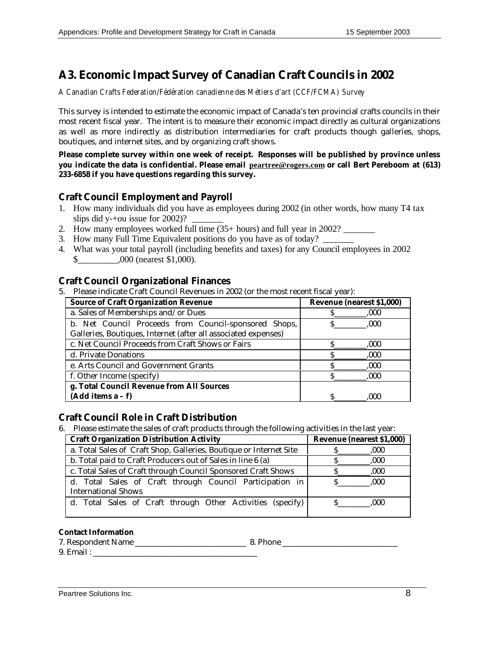# **A3. Economic Impact Survey of Canadian Craft Councils in 2002**

*A Canadian Crafts Federation/Fédération canadienne des Métiers d'art (CCF/FCMA) Survey*

This survey is intended to estimate the economic impact of Canada's ten provincial crafts councils in their most recent fiscal year. The intent is to measure their economic impact directly as cultural organizations as well as more indirectly as distribution intermediaries for craft products though galleries, shops, boutiques, and internet sites, and by organizing craft shows.

**Please complete survey within one week of receipt. Responses will be published by province unless you indicate the data is confidential. Please email peartree@rogers.com or call Bert Pereboom at (613) 233-6858 if you have questions regarding this survey.**

#### **Craft Council Employment and Payroll**

- 1. How many individuals did you have as employees during 2002 (in other words, how many T4 tax slips did y-+ou issue for  $2002$ ?
- 2. How many employees worked full time (35+ hours) and full year in 2002?
- 3. How many Full Time Equivalent positions do you have as of today?
- 4. What was your total payroll (including benefits and taxes) for any Council employees in 2002 \$\_\_\_\_\_\_\_\_\_,000 (nearest \$1,000).

#### **Craft Council Organizational Finances**

5. Please indicate Craft Council Revenues in 2002 (or the most recent fiscal year):

| <b>Source of Craft Organization Revenue</b>                    | <b>Revenue (nearest \$1,000)</b> |
|----------------------------------------------------------------|----------------------------------|
| a. Sales of Memberships and/or Dues                            | .000                             |
| b. Net Council Proceeds from Council-sponsored Shops,          | .000                             |
| Galleries, Boutiques, Internet (after all associated expenses) |                                  |
| c. Net Council Proceeds from Craft Shows or Fairs              | .000                             |
| d. Private Donations                                           | .000                             |
| e. Arts Council and Government Grants                          | 000.                             |
| f. Other Income (specify)                                      | .000                             |
| g. Total Council Revenue from All Sources                      |                                  |
| $(Add items a - f)$                                            | .000                             |

#### **Craft Council Role in Craft Distribution**

6. Please estimate the sales of craft products through the following activities in the last year:

| <b>Craft Organization Distribution Activity</b>                                        | <b>Revenue (nearest \$1,000)</b> |
|----------------------------------------------------------------------------------------|----------------------------------|
| a. Total Sales of Craft Shop, Galleries, Boutique or Internet Site                     | .000                             |
| b. Total paid to Craft Producers out of Sales in line 6 (a)                            | .000                             |
| c. Total Sales of Craft through Council Sponsored Craft Shows                          | .000                             |
| d. Total Sales of Craft through Council Participation in<br><b>International Shows</b> | .000.                            |
| d. Total Sales of Craft through Other Activities (specify)                             | .000                             |

#### **Contact Information**

7. Respondent Name 2014 2014 2022 2023 2024 2024 2022 2023 2024 2022 2023 2024 2022 2023 2024 2022 2023 2022 20 9. Email :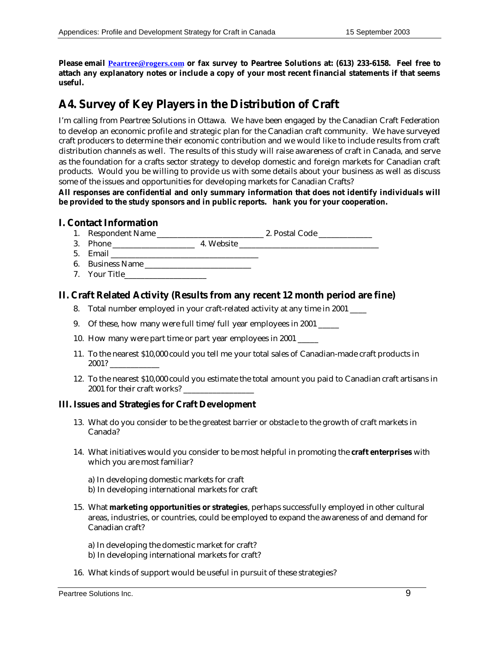**Please email Peartree@rogers.com or fax survey to Peartree Solutions at: (613) 233-6158. Feel free to attach any explanatory notes or include a copy of your most recent financial statements if that seems useful.**

# **A4. Survey of Key Players in the Distribution of Craft**

I'm calling from Peartree Solutions in Ottawa. We have been engaged by the Canadian Craft Federation to develop an economic profile and strategic plan for the Canadian craft community. We have surveyed craft producers to determine their economic contribution and we would like to include results from craft distribution channels as well. The results of this study will raise awareness of craft in Canada, and serve as the foundation for a crafts sector strategy to develop domestic and foreign markets for Canadian craft products. Would you be willing to provide us with some details about your business as well as discuss some of the issues and opportunities for developing markets for Canadian Crafts?

**All responses are confidential and only summary information that does not identify individuals will be provided to the study sponsors and in public reports. hank you for your cooperation.**

#### **I. Contact Information**

- 1. Respondent Name \_\_\_\_\_\_\_\_\_\_\_\_\_\_\_\_\_\_\_\_\_\_\_\_\_\_ 2. Postal Code \_\_\_\_\_\_\_\_\_\_\_\_\_
- 3. Phone \_\_\_\_\_\_\_\_\_\_\_\_\_\_\_\_\_\_\_\_ 4. Website \_\_\_\_\_\_\_\_\_\_\_\_\_\_\_\_\_\_\_\_\_\_\_\_\_\_\_\_\_\_\_\_\_\_
- 5. Email \_\_\_\_\_\_\_\_\_\_\_\_\_\_\_\_\_\_\_\_\_\_\_\_\_\_\_\_\_\_\_\_\_\_\_\_
- 6. Business Name
- 7. Your Title

#### **II. Craft Related Activity (Results from any recent 12 month period are fine)**

- 8. Total number employed in your craft-related activity at any time in 2001 \_\_\_\_
- 9. Of these, how many were full time/full year employees in 2001 \_\_\_\_\_
- 10. How many were part time or part year employees in 2001 \_\_\_\_\_
- 11. To the nearest \$10,000 could you tell me your total sales of Canadian-made craft products in 2001? \_\_\_\_\_\_\_\_\_\_\_\_
- 12. To the nearest \$10,000 could you estimate the total amount you paid to Canadian craft artisans in 2001 for their craft works? \_\_\_\_\_\_\_\_\_\_\_\_\_\_\_\_\_

#### **III. Issues and Strategies for Craft Development**

- 13. What do you consider to be the greatest barrier or obstacle to the growth of craft markets in Canada?
- 14. What initiatives would you consider to be most helpful in promoting the **craft enterprises** with which you are most familiar?

a) In developing domestic markets for craft b) In developing international markets for craft

15. What **marketing opportunities or strategies**, perhaps successfully employed in other cultural areas, industries, or countries, could be employed to expand the awareness of and demand for Canadian craft?

a) In developing the domestic market for craft? b) In developing international markets for craft?

16. What kinds of support would be useful in pursuit of these strategies?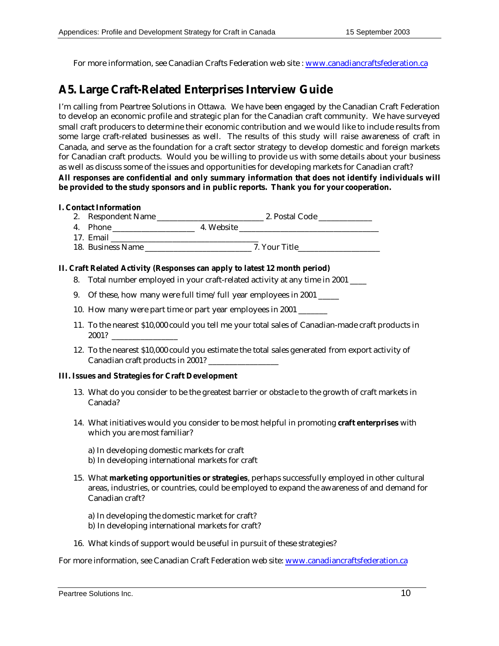For more information, see Canadian Crafts Federation web site : www.canadiancraftsfederation.ca

## **A5. Large Craft-Related Enterprises Interview Guide**

I'm calling from Peartree Solutions in Ottawa. We have been engaged by the Canadian Craft Federation to develop an economic profile and strategic plan for the Canadian craft community. We have surveyed small craft producers to determine their economic contribution and we would like to include results from some large craft-related businesses as well. The results of this study will raise awareness of craft in Canada, and serve as the foundation for a craft sector strategy to develop domestic and foreign markets for Canadian craft products. Would you be willing to provide us with some details about your business as well as discuss some of the issues and opportunities for developing markets for Canadian craft?

**All responses are confidential and only summary information that does not identify individuals will be provided to the study sponsors and in public reports. Thank you for your cooperation.**

#### **I. Contact Information**

- 2. Respondent Name \_\_\_\_\_\_\_\_\_\_\_\_\_\_\_\_\_\_\_\_\_\_\_\_\_\_ 2. Postal Code \_\_\_\_\_\_\_\_\_\_\_\_\_
- 4. Phone \_\_\_\_\_\_\_\_\_\_\_\_\_\_\_\_\_\_\_\_ 4. Website \_\_\_\_\_\_\_\_\_\_\_\_\_\_\_\_\_\_\_\_\_\_\_\_\_\_\_\_\_\_\_\_\_\_
- 17. Email **Execution** 18. Business Name \_\_\_\_\_\_\_\_\_\_\_\_\_\_\_\_\_\_\_\_\_\_\_\_\_\_ 7. Your Title\_\_\_\_\_\_\_\_\_\_\_\_\_\_\_\_\_\_\_\_

#### **II. Craft Related Activity (Responses can apply to latest 12 month period)**

- 8. Total number employed in your craft-related activity at any time in 2001 \_\_\_\_
- 9. Of these, how many were full time/full year employees in 2001 \_\_\_\_\_
- 10. How many were part time or part year employees in 2001 \_\_\_\_\_\_\_
- 11. To the nearest \$10,000 could you tell me your total sales of Canadian-made craft products in 2001? \_\_\_\_\_\_\_\_\_\_\_\_\_\_\_\_
- 12. To the nearest \$10,000 could you estimate the total sales generated from export activity of Canadian craft products in 2001?

#### **III. Issues and Strategies for Craft Development**

- 13. What do you consider to be the greatest barrier or obstacle to the growth of craft markets in Canada?
- 14. What initiatives would you consider to be most helpful in promoting **craft enterprises** with which you are most familiar?
	- a) In developing domestic markets for craft b) In developing international markets for craft
- 15. What **marketing opportunities or strategies**, perhaps successfully employed in other cultural areas, industries, or countries, could be employed to expand the awareness of and demand for Canadian craft?
	- a) In developing the domestic market for craft? b) In developing international markets for craft?
- 16. What kinds of support would be useful in pursuit of these strategies?

For more information, see Canadian Craft Federation web site: www.canadiancraftsfederation.ca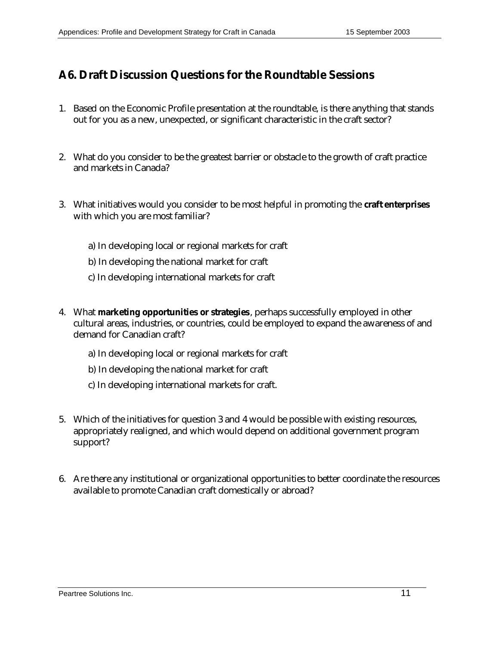# **A6. Draft Discussion Questions for the Roundtable Sessions**

- 1. Based on the Economic Profile presentation at the roundtable, is there anything that stands out for you as a new, unexpected, or significant characteristic in the craft sector?
- 2. What do you consider to be the greatest barrier or obstacle to the growth of craft practice and markets in Canada?
- 3. What initiatives would you consider to be most helpful in promoting the **craft enterprises** with which you are most familiar?
	- a) In developing local or regional markets for craft
	- b) In developing the national market for craft
	- c) In developing international markets for craft
- 4. What **marketing opportunities or strategies**, perhaps successfully employed in other cultural areas, industries, or countries, could be employed to expand the awareness of and demand for Canadian craft?
	- a) In developing local or regional markets for craft
	- b) In developing the national market for craft
	- c) In developing international markets for craft.
- 5. Which of the initiatives for question 3 and 4 would be possible with existing resources, appropriately realigned, and which would depend on additional government program support?
- 6. Are there any institutional or organizational opportunities to better coordinate the resources available to promote Canadian craft domestically or abroad?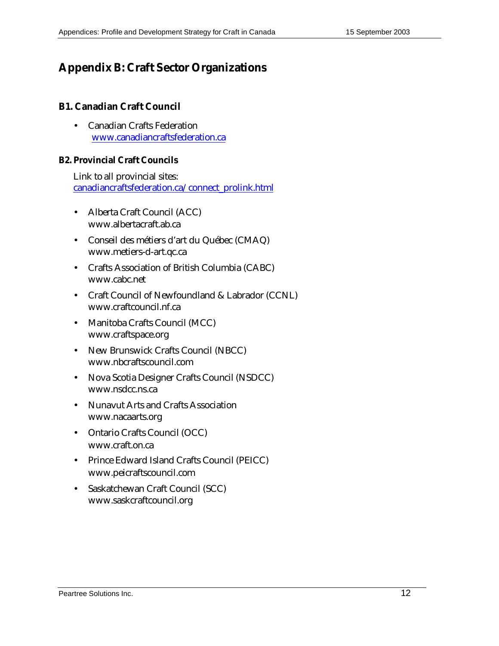# **Appendix B: Craft Sector Organizations**

#### **B1. Canadian Craft Council**

• Canadian Crafts Federation www.canadiancraftsfederation.ca

#### **B2. Provincial Craft Councils**

Link to all provincial sites: canadiancraftsfederation.ca/connect\_prolink.html

- Alberta Craft Council (ACC) www.albertacraft.ab.ca
- Conseil des métiers d'art du Québec (CMAQ) www.metiers-d-art.qc.ca
- Crafts Association of British Columbia (CABC) www.cabc.net
- Craft Council of Newfoundland & Labrador (CCNL) www.craftcouncil.nf.ca
- Manitoba Crafts Council (MCC) www.craftspace.org
- New Brunswick Crafts Council (NBCC) www.nbcraftscouncil.com
- Nova Scotia Designer Crafts Council (NSDCC) www.nsdcc.ns.ca
- Nunavut Arts and Crafts Association www.nacaarts.org
- Ontario Crafts Council (OCC) www.craft.on.ca
- Prince Edward Island Crafts Council (PEICC) www.peicraftscouncil.com
- Saskatchewan Craft Council (SCC) www.saskcraftcouncil.org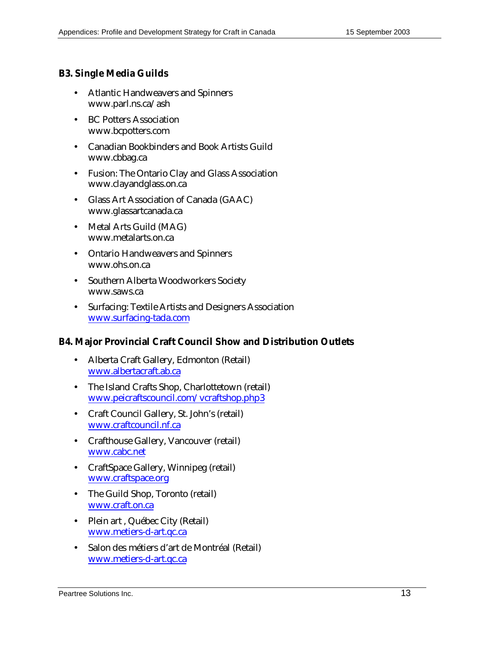### **B3. Single Media Guilds**

- Atlantic Handweavers and Spinners www.parl.ns.ca/ash
- BC Potters Association www.bcpotters.com
- Canadian Bookbinders and Book Artists Guild www.cbbag.ca
- Fusion: The Ontario Clay and Glass Association www.clayandglass.on.ca
- Glass Art Association of Canada (GAAC) www.glassartcanada.ca
- Metal Arts Guild (MAG) www.metalarts.on.ca
- Ontario Handweavers and Spinners www.ohs.on.ca
- Southern Alberta Woodworkers Society www.saws.ca
- Surfacing: Textile Artists and Designers Association www.surfacing-tada.com

#### **B4. Major Provincial Craft Council Show and Distribution Outlets**

- Alberta Craft Gallery, Edmonton (Retail) www.albertacraft.ab.ca
- The Island Crafts Shop, Charlottetown (retail) www.peicraftscouncil.com/vcraftshop.php3
- Craft Council Gallery, St. John's (retail) www.craftcouncil.nf.ca
- Crafthouse Gallery, Vancouver (retail) www.cabc.net
- CraftSpace Gallery, Winnipeg (retail) www.craftspace.org
- The Guild Shop, Toronto (retail) www.craft.on.ca
- Plein art, Québec City (Retail) www.metiers-d-art.qc.ca
- Salon des métiers d'art de Montréal (Retail) www.metiers-d-art.qc.ca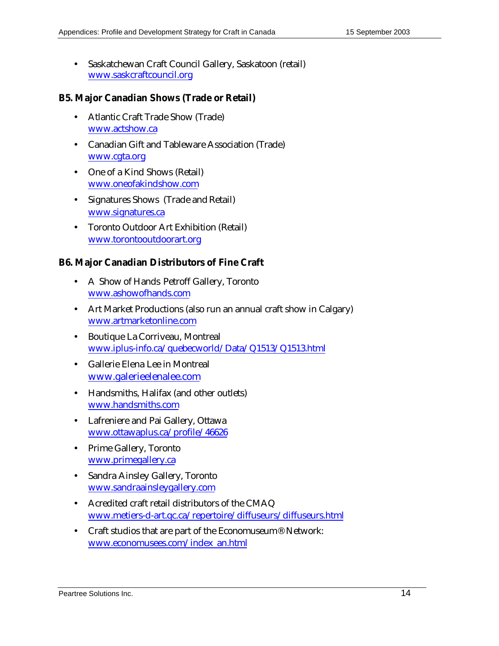• Saskatchewan Craft Council Gallery, Saskatoon (retail) www.saskcraftcouncil.org

#### **B5. Major Canadian Shows (Trade or Retail)**

- Atlantic Craft Trade Show (Trade) www.actshow.ca
- Canadian Gift and Tableware Association (Trade) www.cgta.org
- One of a Kind Shows (Retail) www.oneofakindshow.com
- Signatures Shows (Trade and Retail) www.signatures.ca
- Toronto Outdoor Art Exhibition (Retail) www.torontooutdoorart.org

#### **B6. Major Canadian Distributors of Fine Craft**

- A Show of Hands Petroff Gallery, Toronto www.ashowofhands.com
- Art Market Productions (also run an annual craft show in Calgary) www.artmarketonline.com
- Boutique La Corriveau, Montreal www.iplus-info.ca/quebecworld/Data/Q1513/Q1513.html
- Gallerie Elena Lee in Montreal www.galerieelenalee.com
- Handsmiths, Halifax (and other outlets) www.handsmiths.com
- Lafreniere and Pai Gallery, Ottawa www.ottawaplus.ca/profile/46626
- Prime Gallery, Toronto www.primegallery.ca
- Sandra Ainsley Gallery, Toronto www.sandraainsleygallery.com
- Acredited craft retail distributors of the CMAQ www.metiers-d-art.qc.ca/repertoire/diffuseurs/diffuseurs.html
- Craft studios that are part of the Economuseum<sup>®</sup> Network: www.economusees.com/index\_an.html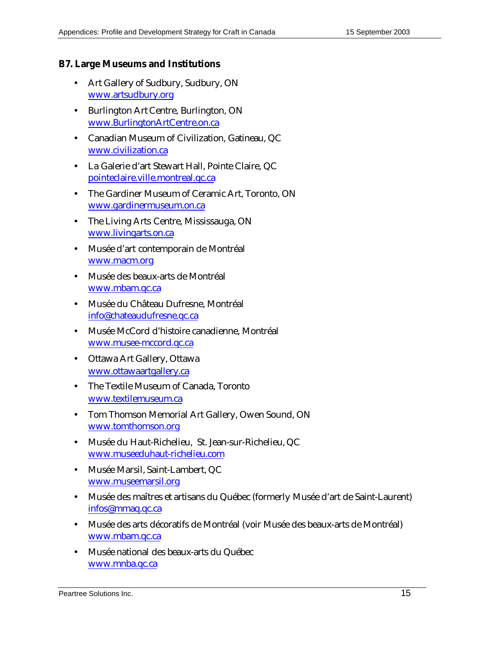#### **B7. Large Museums and Institutions**

- Art Gallery of Sudbury, Sudbury, ON www.artsudbury.org
- Burlington Art Centre, Burlington, ON www.BurlingtonArtCentre.on.ca
- Canadian Museum of Civilization, Gatineau, QC www.civilization.ca
- La Galerie d'art Stewart Hall, Pointe Claire, QC pointeclaire.ville.montreal.qc.ca
- The Gardiner Museum of Ceramic Art, Toronto, ON www.gardinermuseum.on.ca
- The Living Arts Centre, Mississauga, ON www.livingarts.on.ca
- Musée d'art contemporain de Montréal www.macm.org
- Musée des beaux-arts de Montréal www.mbam.qc.ca
- Musée du Château Dufresne, Montréal info@chateaudufresne.qc.ca
- Musée McCord d'histoire canadienne, Montréal www.musee-mccord.qc.ca
- Ottawa Art Gallery, Ottawa www.ottawaartgallery.ca
- The Textile Museum of Canada, Toronto www.textilemuseum.ca
- Tom Thomson Memorial Art Gallery, Owen Sound, ON www.tomthomson.org
- Musée du Haut-Richelieu, St. Jean-sur-Richelieu, QC www.museeduhaut-richelieu.com
- Musée Marsil, Saint-Lambert, QC www.museemarsil.org
- Musée des maîtres et artisans du Québec (formerly Musée d'art de Saint-Laurent) infos@mmaq.qc.ca
- Musée des arts décoratifs de Montréal (voir Musée des beaux-arts de Montréal) www.mbam.qc.ca
- Musée national des beaux-arts du Québec www.mnba.qc.ca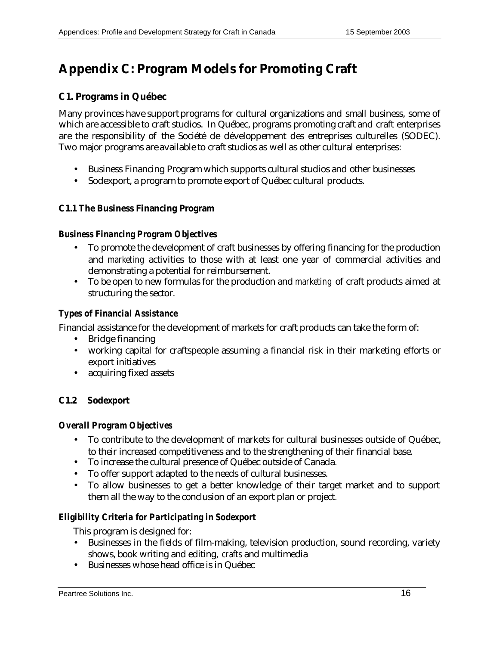# **Appendix C: Program Models for Promoting Craft**

## **C1. Programs in Québec**

Many provinces have support programs for cultural organizations and small business, some of which are accessible to craft studios. In Québec, programs promoting craft and craft enterprises are the responsibility of the Société de développement des entreprises culturelles (SODEC). Two major programs are available to craft studios as well as other cultural enterprises:

- Business Financing Program which supports cultural studios and other businesses
- Sodexport, a program to promote export of Québec cultural products.

### **C1.1 The Business Financing Program**

#### *Business Financing Program Objectives*

- To promote the development of craft businesses by offering financing for the production and *marketing* activities to those with at least one year of commercial activities and demonstrating a potential for reimbursement.
- To be open to new formulas for the production and *marketing* of craft products aimed at structuring the sector.

### *Types of Financial Assistance*

Financial assistance for the development of markets for craft products can take the form of:

- Bridge financing
- working capital for craftspeople assuming a financial risk in their marketing efforts or export initiatives
- acquiring fixed assets

### **C1.2 Sodexport**

#### *Overall Program Objectives*

- To contribute to the development of markets for cultural businesses outside of Québec, to their increased competitiveness and to the strengthening of their financial base.
- To increase the cultural presence of Québec outside of Canada.
- To offer support adapted to the needs of cultural businesses.
- To allow businesses to get a better knowledge of their target market and to support them all the way to the conclusion of an export plan or project.

### *Eligibility Criteria for Participating in Sodexport*

This program is designed for:

- Businesses in the fields of film-making, television production, sound recording, variety shows, book writing and editing, *crafts* and multimedia
- Businesses whose head office is in Québec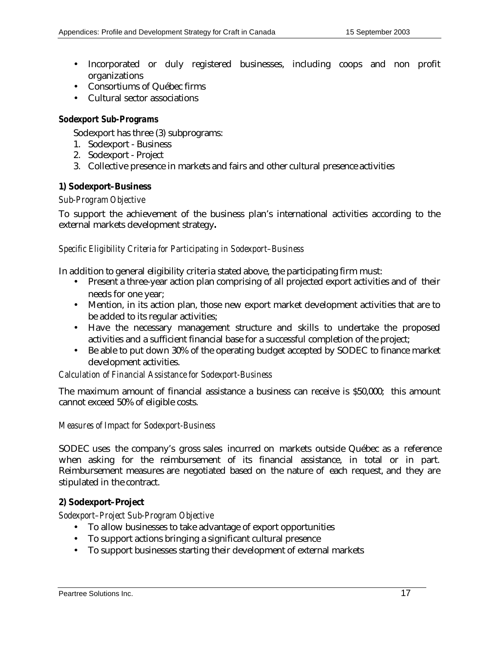- Incorporated or duly registered businesses, including coops and non profit organizations
- Consortiums of Québec firms
- Cultural sector associations

#### *Sodexport Sub-Programs*

Sodexport has three (3) subprograms:

- 1. Sodexport Business
- 2. Sodexport Project
- 3. Collective presence in markets and fairs and other cultural presence activities

#### **1) Sodexport–Business**

#### *Sub-Program Objective*

To support the achievement of the business plan's international activities according to the external markets development strategy**.**

#### *Specific Eligibility Criteria for Participating in Sodexport–Business*

In addition to general eligibility criteria stated above, the participating firm must:

- Present a three-year action plan comprising of all projected export activities and of their needs for one year;
- Mention, in its action plan, those new export market development activities that are to be added to its regular activities;
- Have the necessary management structure and skills to undertake the proposed activities and a sufficient financial base for a successful completion of the project;
- Be able to put down 30% of the operating budget accepted by SODEC to finance market development activities.

#### *Calculation of Financial Assistance for Sodexport-Business*

The maximum amount of financial assistance a business can receive is \$50,000; this amount cannot exceed 50% of eligible costs.

#### *Measures of Impact for Sodexport-Business*

SODEC uses the company's gross sales incurred on markets outside Québec as a reference when asking for the reimbursement of its financial assistance, in total or in part. Reimbursement measures are negotiated based on the nature of each request, and they are stipulated in the contract.

### **2) Sodexport–Project**

*Sodexport–Project Sub-Program Objective*

- To allow businesses to take advantage of export opportunities
- To support actions bringing a significant cultural presence
- To support businesses starting their development of external markets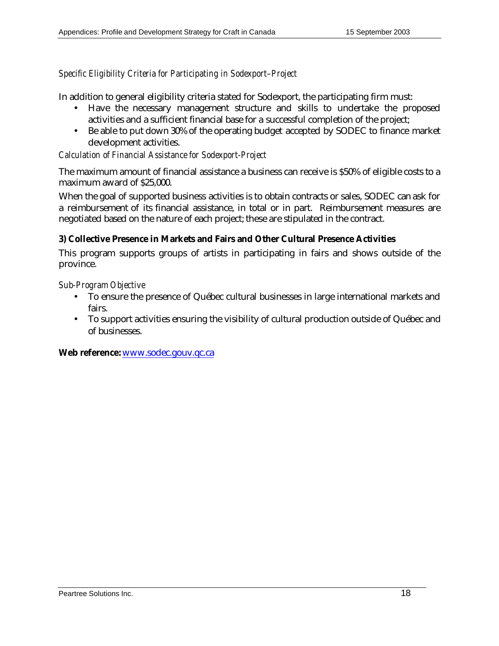#### *Specific Eligibility Criteria for Participating in Sodexport–Project*

In addition to general eligibility criteria stated for Sodexport, the participating firm must:

- Have the necessary management structure and skills to undertake the proposed activities and a sufficient financial base for a successful completion of the project;
- Be able to put down 30% of the operating budget accepted by SODEC to finance market development activities.

#### *Calculation of Financial Assistance for Sodexport-Project*

The maximum amount of financial assistance a business can receive is \$50% of eligible costs to a maximum award of \$25,000.

When the goal of supported business activities is to obtain contracts or sales, SODEC can ask for a reimbursement of its financial assistance, in total or in part. Reimbursement measures are negotiated based on the nature of each project; these are stipulated in the contract.

#### **3) Collective Presence in Markets and Fairs and Other Cultural Presence Activities**

This program supports groups of artists in participating in fairs and shows outside of the province.

#### *Sub-Program Objective*

- To ensure the presence of Québec cultural businesses in large international markets and fairs.
- To support activities ensuring the visibility of cultural production outside of Québec and of businesses.

**Web reference:** www.sodec.gouv.qc.ca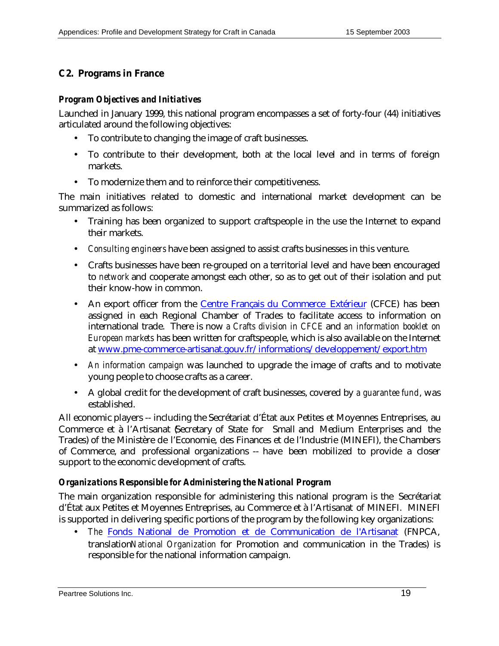## **C2. Programs in France**

#### *Program Objectives and Initiatives*

Launched in January 1999, this national program encompasses a set of forty-four (44) initiatives articulated around the following objectives:

- To contribute to changing the image of craft businesses.
- To contribute to their development, both at the local level and in terms of foreign markets.
- To modernize them and to reinforce their competitiveness.

The main initiatives related to domestic and international market development can be summarized as follows:

- Training has been organized to support craftspeople in the use the Internet to expand their markets.
- *Consulting engineers* have been assigned to assist crafts businesses in this venture.
- Crafts businesses have been re-grouped on a territorial level and have been encouraged to *network* and cooperate amongst each other, so as to get out of their isolation and put their know-how in common.
- An export officer from the Centre Français du Commerce Extérieur (CFCE) has been assigned in each Regional Chamber of Trades to facilitate access to information on international trade. There is now *a Crafts division in CFCE* and *an information booklet on European markets* has been written for craftspeople, which is also available on the Internet at www.pme-commerce-artisanat.gouv.fr/informations/developpement/export.htm
- *An information campaign* was launched to upgrade the image of crafts and to motivate young people to choose crafts as a career.
- A global credit for the development of craft businesses, covered by *a guarantee fund*, was established.

All economic players -- including the Secrétariat d'État aux Petites et Moyennes Entreprises, au Commerce et à l'Artisanat Gecretary of State for Small and Medium Enterprises and the Trades) of the Ministère de l'Economie, des Finances et de l'Industrie (MINEFI), the Chambers of Commerce, and professional organizations -- have been mobilized to provide a closer support to the economic development of crafts.

### *Organizations Responsible for Administering the National Program*

The main organization responsible for administering this national program is the Secrétariat d'État aux Petites et Moyennes Entreprises, au Commerce et à l'Artisanat of MINEFI. MINEFI is supported in delivering specific portions of the program by the following key organizations:

• *The* Fonds National de Promotion et de Communication de l'Artisanat (FNPCA, translation*National Organization* for Promotion and communication in the Trades) is responsible for the national information campaign.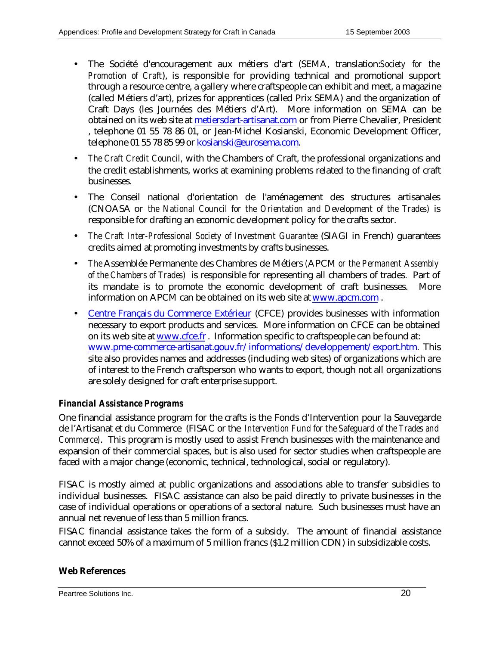- The Société d'encouragement aux métiers d'art (SEMA, translation:*Society for the Promotion of Craft*), is responsible for providing technical and promotional support through a resource centre, a gallery where craftspeople can exhibit and meet, a magazine (called Métiers d'art), prizes for apprentices (called Prix SEMA) and the organization of Craft Days (les Journées des Métiers d'Art). More information on SEMA can be obtained on its web site at metiersdart-artisanat.com or from Pierre Chevalier, President , telephone 01 55 78 86 01, or Jean-Michel Kosianski, Economic Development Officer, telephone 01 55 78 85 99 or kosianski@eurosema.com.
- *The Craft Credit Council,* with the Chambers of Craft, the professional organizations and the credit establishments, works at examining problems related to the financing of craft businesses.
- The Conseil national d'orientation de l'aménagement des structures artisanales (CNOASA or *the National Council for the Orientation and Development of the Trades)* is responsible for drafting an economic development policy for the crafts sector.
- *The Craft Inter-Professional Society of Investment Guarantee* (SIAGI in French) guarantees credits aimed at promoting investments by crafts businesses.
- *The* Assemblée Permanente des Chambres de Métiers *(*APCM *or the Permanent Assembly of the Chambers of Trades)* is responsible for representing all chambers of trades. Part of its mandate is to promote the economic development of craft businesses. More information on APCM can be obtained on its web site at www.apcm.com .
- Centre Français du Commerce Extérieur (CFCE) provides businesses with information necessary to export products and services. More information on CFCE can be obtained on its web site at www.cfce.fr. Information specific to craftspeople can be found at: www.pme-commerce-artisanat.gouv.fr/informations/developpement/export.htm. This site also provides names and addresses (including web sites) of organizations which are of interest to the French craftsperson who wants to export, though not all organizations are solely designed for craft enterprise support.

### *Financial Assistance Programs*

One financial assistance program for the crafts is the Fonds d'Intervention pour la Sauvegarde de l'Artisanat et du Commerce (FISAC or the *Intervention Fund for the Safeguard of the Trades and Commerce)*. This program is mostly used to assist French businesses with the maintenance and expansion of their commercial spaces, but is also used for sector studies when craftspeople are faced with a major change (economic, technical, technological, social or regulatory).

FISAC is mostly aimed at public organizations and associations able to transfer subsidies to individual businesses. FISAC assistance can also be paid directly to private businesses in the case of individual operations or operations of a sectoral nature. Such businesses must have an annual net revenue of less than 5 million francs.

FISAC financial assistance takes the form of a subsidy. The amount of financial assistance cannot exceed 50% of a maximum of 5 million francs (\$1.2 million CDN) in subsidizable costs.

#### **Web References**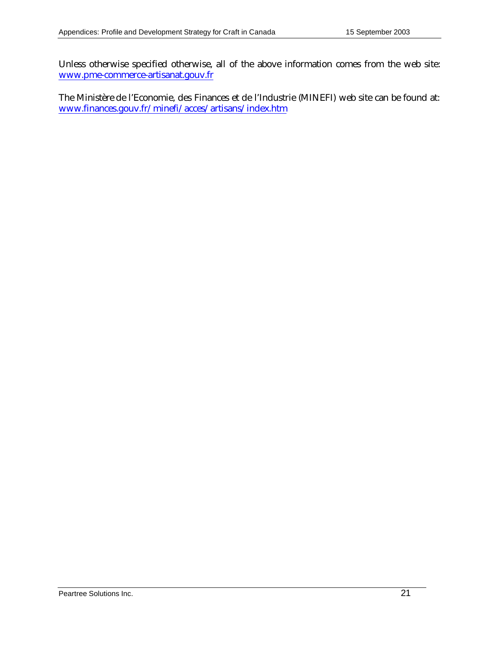Unless otherwise specified otherwise, all of the above information comes from the web site: www.pme-commerce-artisanat.gouv.fr

The Ministère de l'Economie, des Finances et de l'Industrie (MINEFI) web site can be found at: www.finances.gouv.fr/minefi/acces/artisans/index.htm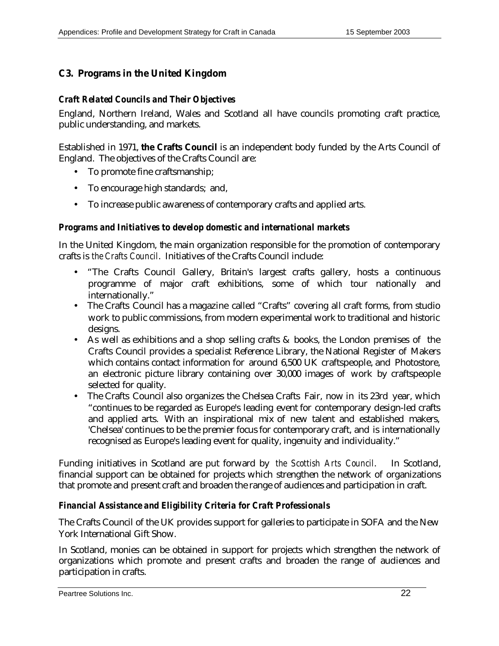## **C3. Programs in the United Kingdom**

#### *Craft Related Councils and Their Objectives*

England, Northern Ireland, Wales and Scotland all have councils promoting craft practice, public understanding, and markets.

Established in 1971, **the Crafts Council** is an independent body funded by the Arts Council of England. The objectives of the Crafts Council are:

- To promote fine craftsmanship;
- To encourage high standards; and,
- To increase public awareness of contemporary crafts and applied arts.

#### *Programs and Initiatives to develop domestic and international markets*

In the United Kingdom, the main organization responsible for the promotion of contemporary crafts is *the Crafts Council*. Initiatives of the Crafts Council include:

- "The Crafts Council Gallery, Britain's largest crafts gallery, hosts a continuous programme of major craft exhibitions, some of which tour nationally and internationally."
- The Crafts Council has a magazine called "Crafts" covering all craft forms, from studio work to public commissions, from modern experimental work to traditional and historic designs.
- As well as exhibitions and a shop selling crafts & books, the London premises of the Crafts Council provides a specialist Reference Library, the National Register of Makers which contains contact information for around 6,500 UK craftspeople, and Photostore, an electronic picture library containing over 30,000 images of work by craftspeople selected for quality.
- The Crafts Council also organizes the Chelsea Crafts Fair, now in its 23rd year, which "continues to be regarded as Europe's leading event for contemporary design-led crafts and applied arts. With an inspirational mix of new talent and established makers, 'Chelsea' continues to be the premier focus for contemporary craft, and is internationally recognised as Europe's leading event for quality, ingenuity and individuality."

Funding initiatives in Scotland are put forward by *the Scottish Arts Council*. In Scotland, financial support can be obtained for projects which strengthen the network of organizations that promote and present craft and broaden the range of audiences and participation in craft.

#### *Financial Assistance and Eligibility Criteria for Craft Professionals*

The Crafts Council of the UK provides support for galleries to participate in SOFA and the New York International Gift Show.

In Scotland, monies can be obtained in support for projects which strengthen the network of organizations which promote and present crafts and broaden the range of audiences and participation in crafts.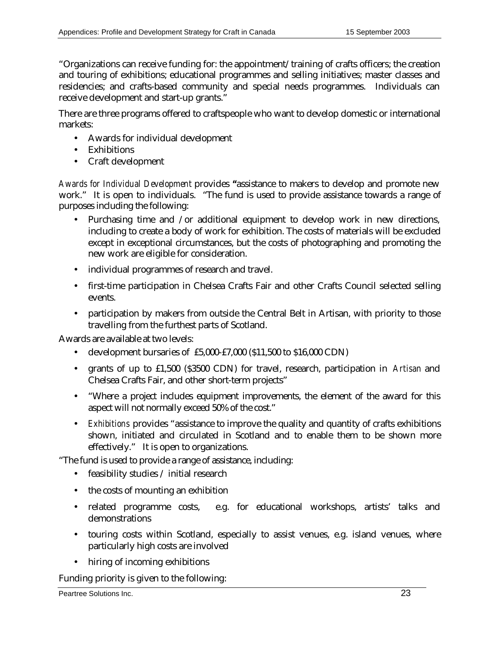"Organizations can receive funding for: the appointment/training of crafts officers; the creation and touring of exhibitions; educational programmes and selling initiatives; master classes and residencies; and crafts-based community and special needs programmes. Individuals can receive development and start-up grants."

There are three programs offered to craftspeople who want to develop domestic or international markets:

- Awards for individual development
- Exhibitions
- Craft development

*Awards for Individual Development* provides **"**assistance to makers to develop and promote new work." It is open to individuals. "The fund is used to provide assistance towards a range of purposes including the following:

- Purchasing time and /or additional equipment to develop work in new directions, including to create a body of work for exhibition. The costs of materials will be excluded except in exceptional circumstances, but the costs of photographing and promoting the new work are eligible for consideration.
- individual programmes of research and travel.
- first-time participation in Chelsea Crafts Fair and other Crafts Council selected selling events.
- participation by makers from outside the Central Belt in Artisan, with priority to those travelling from the furthest parts of Scotland.

Awards are available at two levels:

- development bursaries of £5,000-£7,000 (\$11,500 to \$16,000 CDN)
- grants of up to £1,500 (\$3500 CDN) for travel, research, participation in *Artisan* and Chelsea Crafts Fair, and other short-term projects"
- "Where a project includes equipment improvements, the element of the award for this aspect will not normally exceed 50% of the cost."
- *Exhibitions* provides "assistance to improve the quality and quantity of crafts exhibitions shown, initiated and circulated in Scotland and to enable them to be shown more effectively." It is open to organizations.

"The fund is used to provide a range of assistance, including:

- feasibility studies / initial research
- the costs of mounting an exhibition
- related programme costs, e.g. for educational workshops, artists' talks and demonstrations
- touring costs within Scotland, especially to assist venues, e.g. island venues, where particularly high costs are involved
- hiring of incoming exhibitions

Funding priority is given to the following: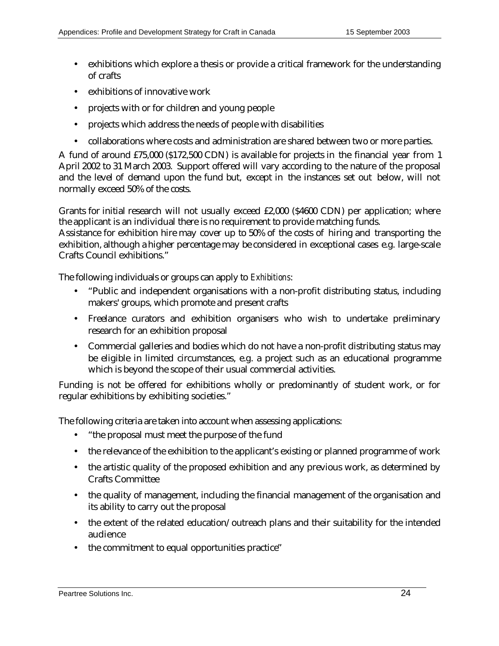- exhibitions which explore a thesis or provide a critical framework for the understanding of crafts
- exhibitions of innovative work
- projects with or for children and young people
- projects which address the needs of people with disabilities
- collaborations where costs and administration are shared between two or more parties.

A fund of around £75,000 (\$172,500 CDN) is available for projects in the financial year from 1 April 2002 to 31 March 2003. Support offered will vary according to the nature of the proposal and the level of demand upon the fund but, except in the instances set out below, will not normally exceed 50% of the costs.

Grants for initial research will not usually exceed £2,000 (\$4600 CDN) per application; where the applicant is an individual there is no requirement to provide matching funds.

Assistance for exhibition hire may cover up to 50% of the costs of hiring and transporting the exhibition, although a higher percentage may be considered in exceptional cases e.g. large-scale Crafts Council exhibitions."

The following individuals or groups can apply to *Exhibitions*:

- "Public and independent organisations with a non-profit distributing status, including makers' groups, which promote and present crafts
- Freelance curators and exhibition organisers who wish to undertake preliminary research for an exhibition proposal
- Commercial galleries and bodies which do not have a non-profit distributing status may be eligible in limited circumstances, e.g. a project such as an educational programme which is beyond the scope of their usual commercial activities.

Funding is not be offered for exhibitions wholly or predominantly of student work, or for regular exhibitions by exhibiting societies."

The following criteria are taken into account when assessing applications:

- "the proposal must meet the purpose of the fund
- the relevance of the exhibition to the applicant's existing or planned programme of work
- the artistic quality of the proposed exhibition and any previous work, as determined by Crafts Committee
- the quality of management, including the financial management of the organisation and its ability to carry out the proposal
- the extent of the related education/outreach plans and their suitability for the intended audience
- the commitment to equal opportunities practice"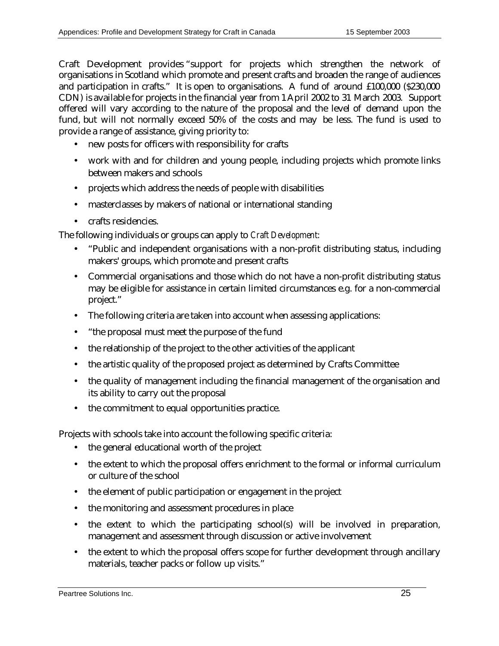Craft Development provides "support for projects which strengthen the network of organisations in Scotland which promote and present crafts and broaden the range of audiences and participation in crafts." It is open to organisations. A fund of around £100,000 (\$230,000 CDN) is available for projects in the financial year from 1 April 2002 to 31 March 2003. Support offered will vary according to the nature of the proposal and the level of demand upon the fund, but will not normally exceed 50% of the costs and may be less. The fund is used to provide a range of assistance, giving priority to:

- new posts for officers with responsibility for crafts
- work with and for children and young people, including projects which promote links between makers and schools
- projects which address the needs of people with disabilities
- masterclasses by makers of national or international standing
- crafts residencies.

The following individuals or groups can apply to *Craft Development*:

- "Public and independent organisations with a non-profit distributing status, including makers' groups, which promote and present crafts
- Commercial organisations and those which do not have a non-profit distributing status may be eligible for assistance in certain limited circumstances e.g. for a non-commercial project."
- The following criteria are taken into account when assessing applications:
- "the proposal must meet the purpose of the fund
- the relationship of the project to the other activities of the applicant
- the artistic quality of the proposed project as determined by Crafts Committee
- the quality of management including the financial management of the organisation and its ability to carry out the proposal
- the commitment to equal opportunities practice.

Projects with schools take into account the following specific criteria:

- the general educational worth of the project
- the extent to which the proposal offers enrichment to the formal or informal curriculum or culture of the school
- the element of public participation or engagement in the project
- the monitoring and assessment procedures in place
- the extent to which the participating school(s) will be involved in preparation, management and assessment through discussion or active involvement
- the extent to which the proposal offers scope for further development through ancillary materials, teacher packs or follow up visits."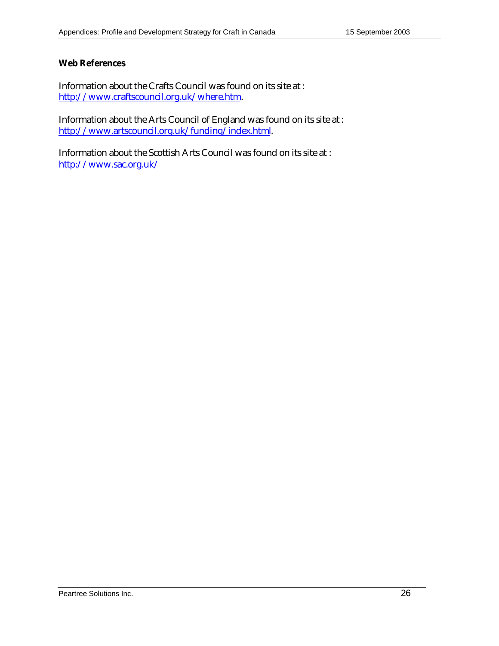#### **Web References**

Information about the Crafts Council was found on its site at : http://www.craftscouncil.org.uk/where.htm.

Information about the Arts Council of England was found on its site at : http://www.artscouncil.org.uk/funding/index.html.

Information about the Scottish Arts Council was found on its site at : http://www.sac.org.uk/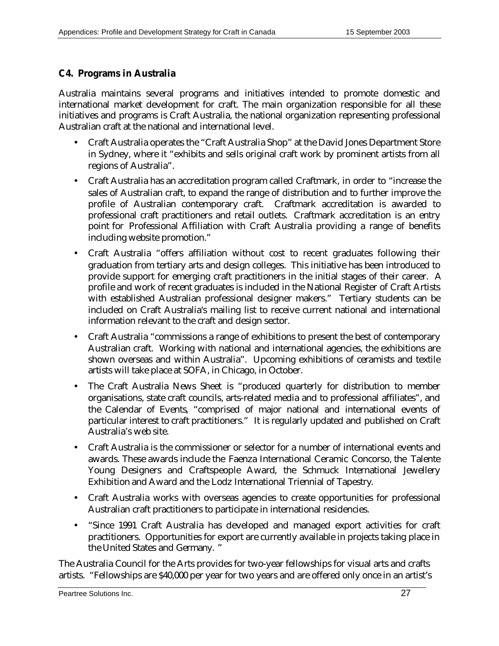## **C4. Programs in Australia**

Australia maintains several programs and initiatives intended to promote domestic and international market development for craft. The main organization responsible for all these initiatives and programs is Craft Australia, the national organization representing professional Australian craft at the national and international level.

- Craft Australia operates the "Craft Australia Shop" at the David Jones Department Store in Sydney, where it "exhibits and sells original craft work by prominent artists from all regions of Australia".
- Craft Australia has an accreditation program called Craftmark, in order to "increase the sales of Australian craft, to expand the range of distribution and to further improve the profile of Australian contemporary craft. Craftmark accreditation is awarded to professional craft practitioners and retail outlets. Craftmark accreditation is an entry point for Professional Affiliation with Craft Australia providing a range of benefits including website promotion."
- Craft Australia "offers affiliation without cost to recent graduates following their graduation from tertiary arts and design colleges. This initiative has been introduced to provide support for emerging craft practitioners in the initial stages of their career. A profile and work of recent graduates is included in the National Register of Craft Artists with established Australian professional designer makers." Tertiary students can be included on Craft Australia's mailing list to receive current national and international information relevant to the craft and design sector.
- Craft Australia "commissions a range of exhibitions to present the best of contemporary Australian craft. Working with national and international agencies, the exhibitions are shown overseas and within Australia". Upcoming exhibitions of ceramists and textile artists will take place at SOFA, in Chicago, in October.
- The Craft Australia News Sheet is "produced quarterly for distribution to member organisations, state craft councils, arts-related media and to professional affiliates", and the Calendar of Events, "comprised of major national and international events of particular interest to craft practitioners." It is regularly updated and published on Craft Australia's web site.
- Craft Australia is the commissioner or selector for a number of international events and awards. These awards include the Faenza International Ceramic Concorso, the Talente Young Designers and Craftspeople Award, the Schmuck International Jewellery Exhibition and Award and the Lodz International Triennial of Tapestry.
- Craft Australia works with overseas agencies to create opportunities for professional Australian craft practitioners to participate in international residencies.
- "Since 1991 Craft Australia has developed and managed export activities for craft practitioners. Opportunities for export are currently available in projects taking place in the United States and Germany. "

The Australia Council for the Arts provides for two-year fellowships for visual arts and crafts artists. "Fellowships are \$40,000 per year for two years and are offered only once in an artist's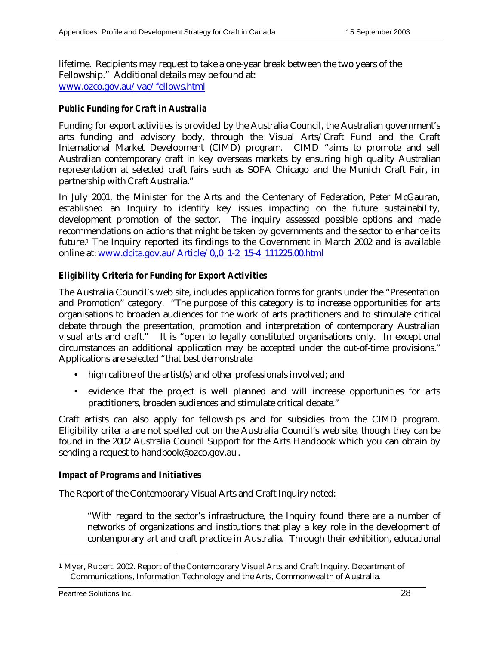lifetime. Recipients may request to take a one-year break between the two years of the Fellowship." Additional details may be found at: www.ozco.gov.au/vac/fellows.html

#### *Public Funding for Craft in Australia*

Funding for export activities is provided by the Australia Council, the Australian government's arts funding and advisory body, through the Visual Arts/Craft Fund and the Craft International Market Development (CIMD) program. CIMD "aims to promote and sell Australian contemporary craft in key overseas markets by ensuring high quality Australian representation at selected craft fairs such as SOFA Chicago and the Munich Craft Fair, in partnership with Craft Australia."

In July 2001, the Minister for the Arts and the Centenary of Federation, Peter McGauran, established an Inquiry to identify key issues impacting on the future sustainability, development promotion of the sector. The inquiry assessed possible options and made recommendations on actions that might be taken by governments and the sector to enhance its future.1 The Inquiry reported its findings to the Government in March 2002 and is available online at: www.dcita.gov.au/Article/0,,0\_1-2\_15-4\_111225,00.html

#### *Eligibility Criteria for Funding for Export Activities*

The Australia Council's web site, includes application forms for grants under the "Presentation and Promotion" category. "The purpose of this category is to increase opportunities for arts organisations to broaden audiences for the work of arts practitioners and to stimulate critical debate through the presentation, promotion and interpretation of contemporary Australian visual arts and craft." It is "open to legally constituted organisations only. In exceptional circumstances an additional application may be accepted under the out-of-time provisions." Applications are selected "that best demonstrate:

- high calibre of the artist(s) and other professionals involved; and
- evidence that the project is well planned and will increase opportunities for arts practitioners, broaden audiences and stimulate critical debate."

Craft artists can also apply for fellowships and for subsidies from the CIMD program. Eligibility criteria are not spelled out on the Australia Council's web site, though they can be found in the 2002 Australia Council Support for the Arts Handbook which you can obtain by sending a request to handbook@ozco.gov.au .

#### *Impact of Programs and Initiatives*

The Report of the Contemporary Visual Arts and Craft Inquiry noted:

"With regard to the sector's infrastructure, the Inquiry found there are a number of networks of organizations and institutions that play a key role in the development of contemporary art and craft practice in Australia. Through their exhibition, educational

 $\overline{a}$ 

<sup>1</sup> Myer, Rupert. 2002. Report of the Contemporary Visual Arts and Craft Inquiry. Department of Communications, Information Technology and the Arts, Commonwealth of Australia.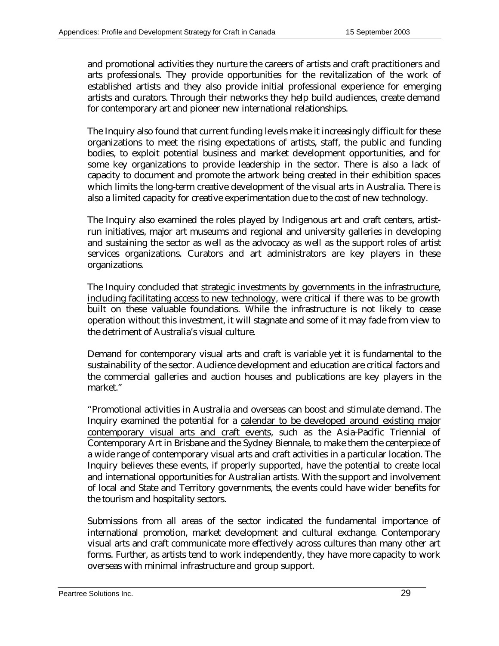and promotional activities they nurture the careers of artists and craft practitioners and arts professionals. They provide opportunities for the revitalization of the work of established artists and they also provide initial professional experience for emerging artists and curators. Through their networks they help build audiences, create demand for contemporary art and pioneer new international relationships.

The Inquiry also found that current funding levels make it increasingly difficult for these organizations to meet the rising expectations of artists, staff, the public and funding bodies, to exploit potential business and market development opportunities, and for some key organizations to provide leadership in the sector. There is also a lack of capacity to document and promote the artwork being created in their exhibition spaces which limits the long-term creative development of the visual arts in Australia. There is also a limited capacity for creative experimentation due to the cost of new technology.

The Inquiry also examined the roles played by Indigenous art and craft centers, artistrun initiatives, major art museums and regional and university galleries in developing and sustaining the sector as well as the advocacy as well as the support roles of artist services organizations. Curators and art administrators are key players in these organizations.

The Inquiry concluded that strategic investments by governments in the infrastructure, including facilitating access to new technology, were critical if there was to be growth built on these valuable foundations. While the infrastructure is not likely to cease operation without this investment, it will stagnate and some of it may fade from view to the detriment of Australia's visual culture.

Demand for contemporary visual arts and craft is variable yet it is fundamental to the sustainability of the sector. Audience development and education are critical factors and the commercial galleries and auction houses and publications are key players in the market."

"Promotional activities in Australia and overseas can boost and stimulate demand. The Inquiry examined the potential for a calendar to be developed around existing major contemporary visual arts and craft events, such as the Asia-Pacific Triennial of Contemporary Art in Brisbane and the Sydney Biennale, to make them the centerpiece of a wide range of contemporary visual arts and craft activities in a particular location. The Inquiry believes these events, if properly supported, have the potential to create local and international opportunities for Australian artists. With the support and involvement of local and State and Territory governments, the events could have wider benefits for the tourism and hospitality sectors.

Submissions from all areas of the sector indicated the fundamental importance of international promotion, market development and cultural exchange. Contemporary visual arts and craft communicate more effectively across cultures than many other art forms. Further, as artists tend to work independently, they have more capacity to work overseas with minimal infrastructure and group support.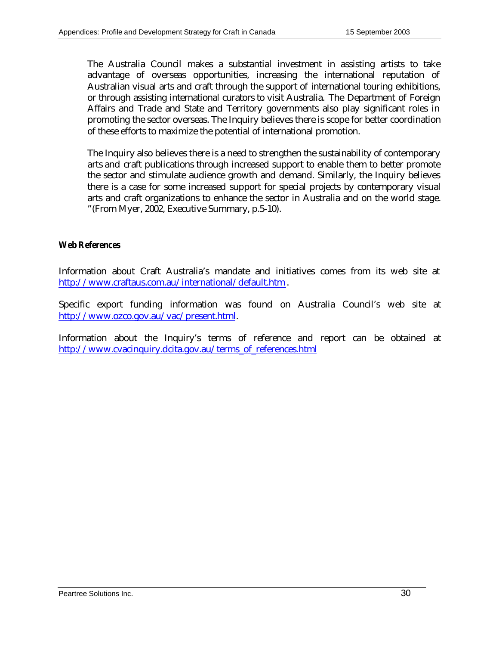The Australia Council makes a substantial investment in assisting artists to take advantage of overseas opportunities, increasing the international reputation of Australian visual arts and craft through the support of international touring exhibitions, or through assisting international curators to visit Australia. The Department of Foreign Affairs and Trade and State and Territory governments also play significant roles in promoting the sector overseas. The Inquiry believes there is scope for better coordination of these efforts to maximize the potential of international promotion.

The Inquiry also believes there is a need to strengthen the sustainability of contemporary arts and craft publications through increased support to enable them to better promote the sector and stimulate audience growth and demand. Similarly, the Inquiry believes there is a case for some increased support for special projects by contemporary visual arts and craft organizations to enhance the sector in Australia and on the world stage. "(From Myer, 2002, Executive Summary, p.5-10).

#### *Web References*

Information about Craft Australia's mandate and initiatives comes from its web site at http://www.craftaus.com.au/international/default.htm .

Specific export funding information was found on Australia Council's web site at http://www.ozco.gov.au/vac/present.html.

Information about the Inquiry's terms of reference and report can be obtained at http://www.cvacinquiry.dcita.gov.au/terms\_of\_references.html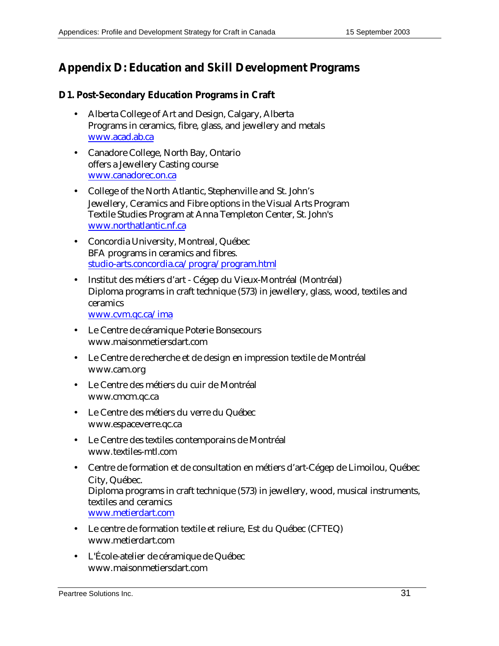# **Appendix D: Education and Skill Development Programs**

#### **D1. Post-Secondary Education Programs in Craft**

- Alberta College of Art and Design, Calgary, Alberta Programs in ceramics, fibre, glass, and jewellery and metals www.acad.ab.ca
- Canadore College, North Bay, Ontario offers a Jewellery Casting course www.canadorec.on.ca
- College of the North Atlantic, Stephenville and St. John's Jewellery, Ceramics and Fibre options in the Visual Arts Program Textile Studies Program at Anna Templeton Center, St. John's www.northatlantic.nf.ca
- Concordia University, Montreal, Québec BFA programs in ceramics and fibres. studio-arts.concordia.ca/progra/program.html
- Institut des métiers d'art Cégep du Vieux-Montréal (Montréal) Diploma programs in craft technique (573) in jewellery, glass, wood, textiles and ceramics

www.cvm.qc.ca/ima

- Le Centre de céramique Poterie Bonsecours www.maisonmetiersdart.com
- Le Centre de recherche et de design en impression textile de Montréal www.cam.org
- Le Centre des métiers du cuir de Montréal www.cmcm.qc.ca
- Le Centre des métiers du verre du Québec www.espaceverre.qc.ca
- Le Centre des textiles contemporains de Montréal www.textiles-mtl.com
- Centre de formation et de consultation en métiers d'art-Cégep de Limoilou, Québec City, Québec. Diploma programs in craft technique (573) in jewellery, wood, musical instruments, textiles and ceramics www.metierdart.com
- Le centre de formation textile et reliure, Est du Québec (CFTEQ) www.metierdart.com
- L'École-atelier de céramique de Québec www.maisonmetiersdart.com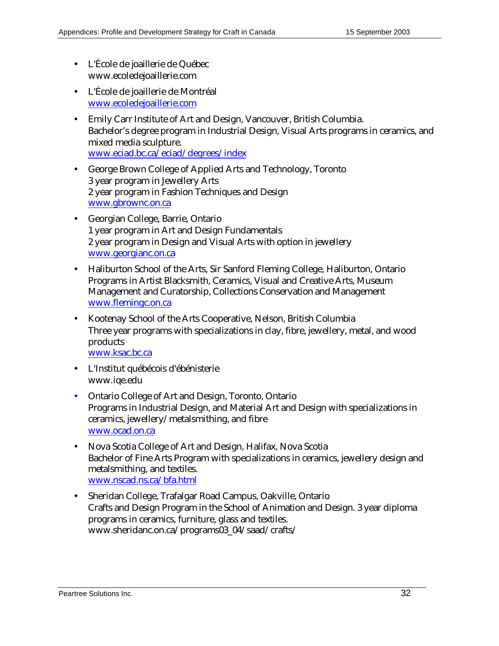- L'École de joaillerie de Québec www.ecoledejoaillerie.com
- L'École de joaillerie de Montréal www.ecoledejoaillerie.com
- Emily Carr Institute of Art and Design, Vancouver, British Columbia. Bachelor's degree program in Industrial Design, Visual Arts programs in ceramics, and mixed media sculpture. www.eciad.bc.ca/eciad/degrees/index
- George Brown College of Applied Arts and Technology, Toronto 3 year program in Jewellery Arts 2 year program in Fashion Techniques and Design www.gbrownc.on.ca
- Georgian College, Barrie, Ontario 1 year program in Art and Design Fundamentals 2 year program in Design and Visual Arts with option in jewellery www.georgianc.on.ca
- Haliburton School of the Arts, Sir Sanford Fleming College, Haliburton, Ontario Programs in Artist Blacksmith, Ceramics, Visual and Creative Arts, Museum Management and Curatorship, Collections Conservation and Management www.flemingc.on.ca
- Kootenay School of the Arts Cooperative, Nelson, British Columbia Three year programs with specializations in clay, fibre, jewellery, metal, and wood products www.ksac.bc.ca
- L'Institut québécois d'ébénisterie www.iqe.edu
- Ontario College of Art and Design, Toronto, Ontario Programs in Industrial Design, and Material Art and Design with specializations in ceramics, jewellery/metalsmithing, and fibre www.ocad.on.ca
- Nova Scotia College of Art and Design, Halifax, Nova Scotia Bachelor of Fine Arts Program with specializations in ceramics, jewellery design and metalsmithing, and textiles. www.nscad.ns.ca/bfa.html
- Sheridan College, Trafalgar Road Campus, Oakville, Ontario Crafts and Design Program in the School of Animation and Design. 3 year diploma programs in ceramics, furniture, glass and textiles. www.sheridanc.on.ca/programs03\_04/saad/crafts/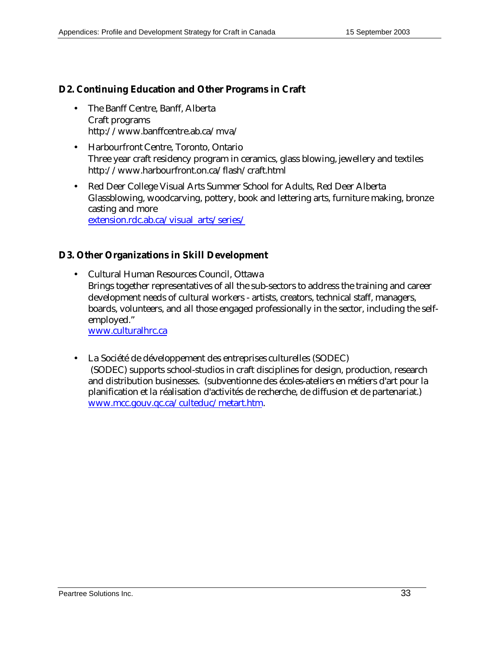## **D2. Continuing Education and Other Programs in Craft**

- The Banff Centre, Banff, Alberta Craft programs http://www.banffcentre.ab.ca/mva/
- Harbourfront Centre, Toronto, Ontario Three year craft residency program in ceramics, glass blowing, jewellery and textiles http://www.harbourfront.on.ca/flash/craft.html
- Red Deer College Visual Arts Summer School for Adults, Red Deer Alberta Glassblowing, woodcarving, pottery, book and lettering arts, furniture making, bronze casting and more extension.rdc.ab.ca/visual\_arts/series/

### **D3. Other Organizations in Skill Development**

- Cultural Human Resources Council, Ottawa Brings together representatives of all the sub-sectors to address the training and career development needs of cultural workers - artists, creators, technical staff, managers, boards, volunteers, and all those engaged professionally in the sector, including the selfemployed." www.culturalhrc.ca
- La Société de développement des entreprises culturelles (SODEC) (SODEC) supports school-studios in craft disciplines for design, production, research and distribution businesses. (subventionne des écoles-ateliers en métiers d'art pour la planification et la réalisation d'activités de recherche, de diffusion et de partenariat.) www.mcc.gouv.qc.ca/culteduc/metart.htm.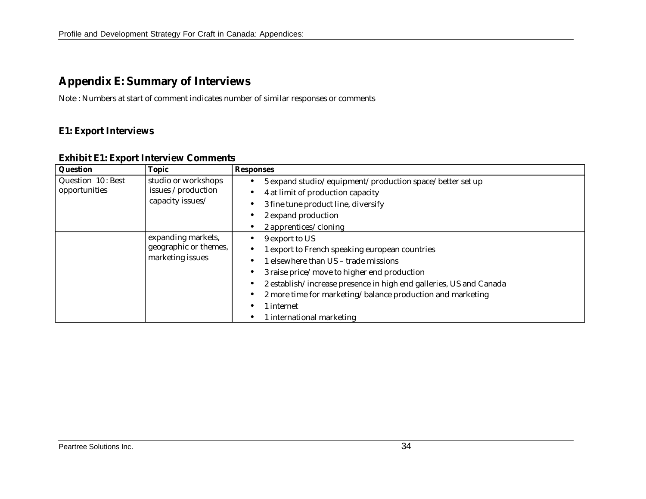# **Appendix E: Summary of Interviews**

Note : Numbers at start of comment indicates number of similar responses or comments

## **E1: Export Interviews**

| Question          | <b>Topic</b>          | <b>Responses</b>                                                   |
|-------------------|-----------------------|--------------------------------------------------------------------|
| Question 10: Best | studio or workshops   | 5 expand studio/equipment/production space/better set up           |
| opportunities     | issues /production    | 4 at limit of production capacity                                  |
|                   | capacity issues/      | 3 fine tune product line, diversify                                |
|                   |                       | 2 expand production                                                |
|                   |                       | 2 apprentices/cloning                                              |
|                   | expanding markets,    | 9 export to US                                                     |
|                   | geographic or themes, | 1 export to French speaking european countries                     |
|                   | marketing issues      | 1 elsewhere than US – trade missions                               |
|                   |                       | 3 raise price/move to higher end production                        |
|                   |                       | 2 establish/increase presence in high end galleries, US and Canada |
|                   |                       | 2 more time for marketing/balance production and marketing         |
|                   |                       | 1 internet                                                         |
|                   |                       | 1 international marketing                                          |

#### **Exhibit E1: Export Interview Comments**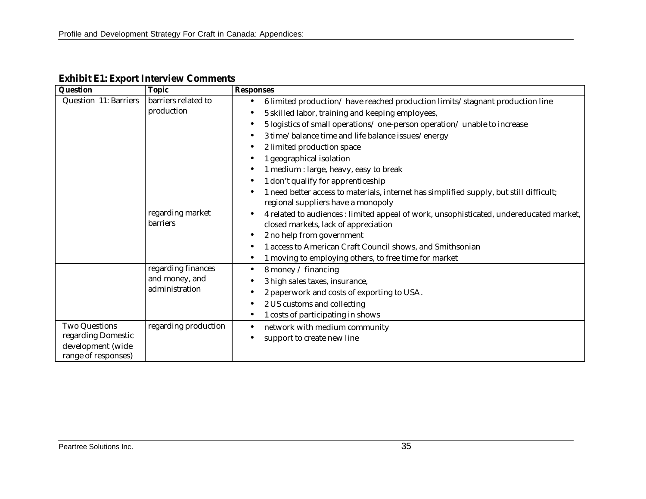| Question              | <b>Topic</b>         | <b>Responses</b>                                                                        |
|-----------------------|----------------------|-----------------------------------------------------------------------------------------|
| Question 11: Barriers | barriers related to  | 6 limited production/have reached production limits/stagnant production line            |
|                       | production           | 5 skilled labor, training and keeping employees,                                        |
|                       |                      | 5 logistics of small operations/ one-person operation/ unable to increase               |
|                       |                      | 3 time/balance time and life balance issues/energy                                      |
|                       |                      | 2 limited production space                                                              |
|                       |                      | 1 geographical isolation                                                                |
|                       |                      | 1 medium : large, heavy, easy to break                                                  |
|                       |                      | 1 don't qualify for apprenticeship                                                      |
|                       |                      | 1 need better access to materials, internet has simplified supply, but still difficult; |
|                       |                      | regional suppliers have a monopoly                                                      |
|                       | regarding market     | 4 related to audiences : limited appeal of work, unsophisticated, undereducated market, |
|                       | barriers             | closed markets, lack of appreciation                                                    |
|                       |                      | 2 no help from government                                                               |
|                       |                      | 1 access to American Craft Council shows, and Smithsonian                               |
|                       |                      | 1 moving to employing others, to free time for market                                   |
|                       | regarding finances   | 8 money / financing                                                                     |
|                       | and money, and       | 3 high sales taxes, insurance,                                                          |
|                       | administration       | 2 paperwork and costs of exporting to USA.                                              |
|                       |                      | 2 US customs and collecting                                                             |
|                       |                      | 1 costs of participating in shows                                                       |
| <b>Two Questions</b>  | regarding production | network with medium community                                                           |
| regarding Domestic    |                      | support to create new line                                                              |
| development (wide     |                      |                                                                                         |
| range of responses)   |                      |                                                                                         |

**Exhibit E1: Export Interview Comments**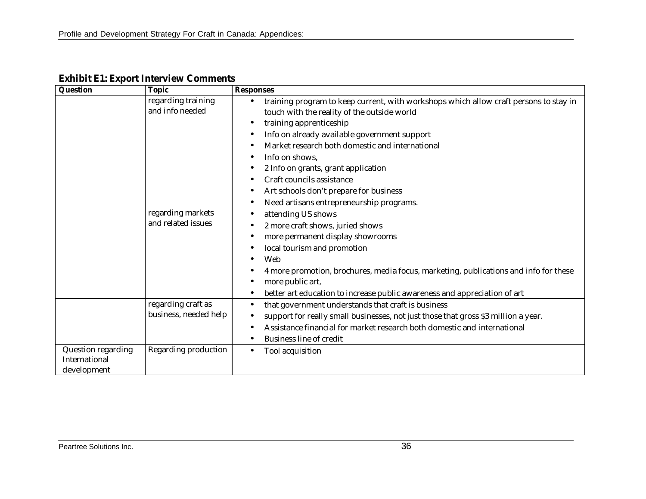| Question                            | <b>Topic</b>                          | <b>Responses</b>                                                                                                                     |
|-------------------------------------|---------------------------------------|--------------------------------------------------------------------------------------------------------------------------------------|
|                                     | regarding training<br>and info needed | training program to keep current, with workshops which allow craft persons to stay in<br>touch with the reality of the outside world |
|                                     |                                       | training apprenticeship                                                                                                              |
|                                     |                                       | Info on already available government support                                                                                         |
|                                     |                                       | Market research both domestic and international                                                                                      |
|                                     |                                       | Info on shows,                                                                                                                       |
|                                     |                                       | 2 Info on grants, grant application                                                                                                  |
|                                     |                                       | Craft councils assistance                                                                                                            |
|                                     |                                       | Art schools don't prepare for business                                                                                               |
|                                     |                                       | Need artisans entrepreneurship programs.                                                                                             |
|                                     | regarding markets                     | attending US shows                                                                                                                   |
|                                     | and related issues                    | 2 more craft shows, juried shows                                                                                                     |
|                                     |                                       | more permanent display showrooms                                                                                                     |
|                                     |                                       | local tourism and promotion                                                                                                          |
|                                     |                                       | Web                                                                                                                                  |
|                                     |                                       | 4 more promotion, brochures, media focus, marketing, publications and info for these                                                 |
|                                     |                                       | more public art,                                                                                                                     |
|                                     |                                       | better art education to increase public awareness and appreciation of art                                                            |
|                                     | regarding craft as                    | that government understands that craft is business                                                                                   |
|                                     | business, needed help                 | support for really small businesses, not just those that gross \$3 million a year.                                                   |
|                                     |                                       | Assistance financial for market research both domestic and international                                                             |
|                                     |                                       | <b>Business line of credit</b>                                                                                                       |
| Question regarding<br>International | Regarding production                  | Tool acquisition                                                                                                                     |
| development                         |                                       |                                                                                                                                      |

**Exhibit E1: Export Interview Comments**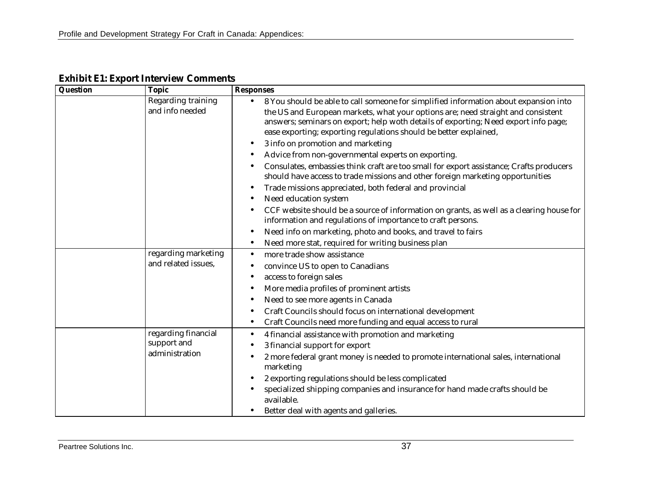| Question | <b>Topic</b>                          | <b>Responses</b>                                                                                                                                                                                                                                                                                                                     |
|----------|---------------------------------------|--------------------------------------------------------------------------------------------------------------------------------------------------------------------------------------------------------------------------------------------------------------------------------------------------------------------------------------|
|          | Regarding training<br>and info needed | 8 You should be able to call someone for simplified information about expansion into<br>the US and European markets, what your options are; need straight and consistent<br>answers; seminars on export; help woth details of exporting; Need export info page;<br>ease exporting; exporting regulations should be better explained, |
|          |                                       | 3 info on promotion and marketing                                                                                                                                                                                                                                                                                                    |
|          |                                       | Advice from non-governmental experts on exporting.                                                                                                                                                                                                                                                                                   |
|          |                                       | Consulates, embassies think craft are too small for export assistance; Crafts producers<br>should have access to trade missions and other foreign marketing opportunities                                                                                                                                                            |
|          |                                       | Trade missions appreciated, both federal and provincial                                                                                                                                                                                                                                                                              |
|          |                                       | Need education system                                                                                                                                                                                                                                                                                                                |
|          |                                       | CCF website should be a source of information on grants, as well as a clearing house for<br>information and regulations of importance to craft persons.                                                                                                                                                                              |
|          |                                       | Need info on marketing, photo and books, and travel to fairs                                                                                                                                                                                                                                                                         |
|          |                                       | Need more stat, required for writing business plan                                                                                                                                                                                                                                                                                   |
|          | regarding marketing                   | more trade show assistance                                                                                                                                                                                                                                                                                                           |
|          | and related issues,                   | convince US to open to Canadians                                                                                                                                                                                                                                                                                                     |
|          |                                       | access to foreign sales                                                                                                                                                                                                                                                                                                              |
|          |                                       | More media profiles of prominent artists                                                                                                                                                                                                                                                                                             |
|          |                                       | Need to see more agents in Canada                                                                                                                                                                                                                                                                                                    |
|          |                                       | Craft Councils should focus on international development                                                                                                                                                                                                                                                                             |
|          |                                       | Craft Councils need more funding and equal access to rural                                                                                                                                                                                                                                                                           |
|          | regarding financial                   | 4 financial assistance with promotion and marketing                                                                                                                                                                                                                                                                                  |
|          | support and<br>administration         | 3 financial support for export                                                                                                                                                                                                                                                                                                       |
|          |                                       | 2 more federal grant money is needed to promote international sales, international<br>marketing                                                                                                                                                                                                                                      |
|          |                                       | 2 exporting regulations should be less complicated                                                                                                                                                                                                                                                                                   |
|          |                                       | specialized shipping companies and insurance for hand made crafts should be<br>available.                                                                                                                                                                                                                                            |
|          |                                       | Better deal with agents and galleries.                                                                                                                                                                                                                                                                                               |

**Exhibit E1: Export Interview Comments**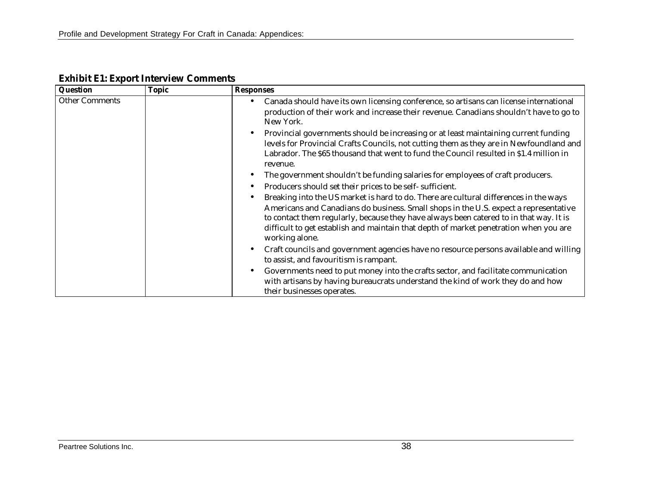| <b>Question</b>       | <b>Topic</b> | <b>Responses</b>                                                                                                                                                                                                                                                                                                                                                                   |
|-----------------------|--------------|------------------------------------------------------------------------------------------------------------------------------------------------------------------------------------------------------------------------------------------------------------------------------------------------------------------------------------------------------------------------------------|
| <b>Other Comments</b> |              | Canada should have its own licensing conference, so artisans can license international<br>production of their work and increase their revenue. Canadians shouldn't have to go to<br>New York.                                                                                                                                                                                      |
|                       |              | Provincial governments should be increasing or at least maintaining current funding<br>levels for Provincial Crafts Councils, not cutting them as they are in Newfoundland and<br>Labrador. The \$65 thousand that went to fund the Council resulted in \$1.4 million in<br>revenue.                                                                                               |
|                       |              | The government shouldn't be funding salaries for employees of craft producers.                                                                                                                                                                                                                                                                                                     |
|                       |              | Producers should set their prices to be self- sufficient.                                                                                                                                                                                                                                                                                                                          |
|                       |              | Breaking into the US market is hard to do. There are cultural differences in the ways<br>Americans and Canadians do business. Small shops in the U.S. expect a representative<br>to contact them regularly, because they have always been catered to in that way. It is<br>difficult to get establish and maintain that depth of market penetration when you are<br>working alone. |
|                       |              | Craft councils and government agencies have no resource persons available and willing<br>$\bullet$<br>to assist, and favouritism is rampant.                                                                                                                                                                                                                                       |
|                       |              | Governments need to put money into the crafts sector, and facilitate communication<br>$\bullet$<br>with artisans by having bureaucrats understand the kind of work they do and how<br>their businesses operates.                                                                                                                                                                   |

## **Exhibit E1: Export Interview Comments**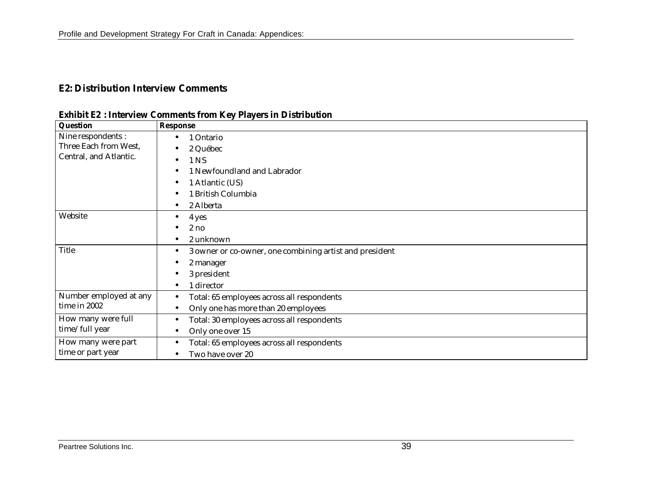## **E2: Distribution Interview Comments**

|  | <b>Exhibit E2: Interview Comments from Key Players in Distribution</b> |
|--|------------------------------------------------------------------------|
|--|------------------------------------------------------------------------|

| <b>Question</b>        | <b>Response</b>                                                      |
|------------------------|----------------------------------------------------------------------|
| Nine respondents :     | 1 Ontario                                                            |
| Three Each from West,  | 2 Québec                                                             |
| Central, and Atlantic. | 1 NS                                                                 |
|                        | 1 Newfoundland and Labrador                                          |
|                        | 1 Atlantic (US)                                                      |
|                        | 1 British Columbia                                                   |
|                        | 2 Alberta                                                            |
| Website                | 4 yes                                                                |
|                        | 2no                                                                  |
|                        | 2 unknown                                                            |
| <b>Title</b>           | 3 owner or co-owner, one combining artist and president<br>$\bullet$ |
|                        | 2 manager                                                            |
|                        | 3 president                                                          |
|                        | 1 director                                                           |
| Number employed at any | Total: 65 employees across all respondents                           |
| time in 2002           | Only one has more than 20 employees                                  |
| How many were full     | Total: 30 employees across all respondents<br>٠                      |
| time/full year         | Only one over 15<br>٠                                                |
| How many were part     | Total: 65 employees across all respondents<br>$\bullet$              |
| time or part year      | Two have over 20                                                     |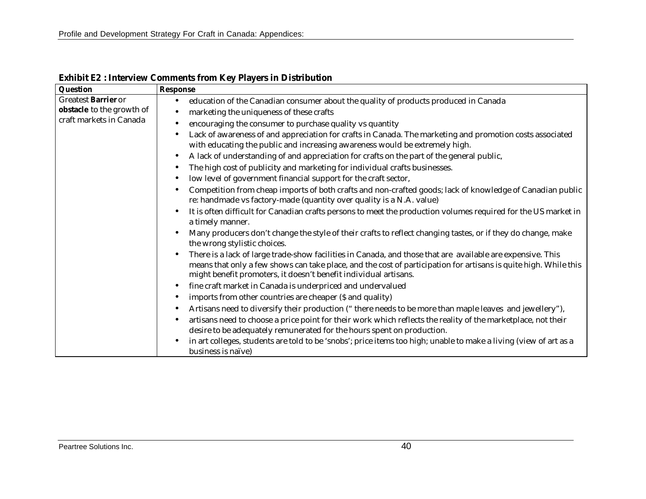| Question                  | <b>Response</b>                                                                                                                                                                                                                                                                                    |  |  |  |  |
|---------------------------|----------------------------------------------------------------------------------------------------------------------------------------------------------------------------------------------------------------------------------------------------------------------------------------------------|--|--|--|--|
| Greatest Barrier or       | education of the Canadian consumer about the quality of products produced in Canada                                                                                                                                                                                                                |  |  |  |  |
| obstacle to the growth of | marketing the uniqueness of these crafts                                                                                                                                                                                                                                                           |  |  |  |  |
| craft markets in Canada   | encouraging the consumer to purchase quality vs quantity                                                                                                                                                                                                                                           |  |  |  |  |
|                           | Lack of awareness of and appreciation for crafts in Canada. The marketing and promotion costs associated<br>with educating the public and increasing awareness would be extremely high.                                                                                                            |  |  |  |  |
|                           | A lack of understanding of and appreciation for crafts on the part of the general public,                                                                                                                                                                                                          |  |  |  |  |
|                           | The high cost of publicity and marketing for individual crafts businesses.                                                                                                                                                                                                                         |  |  |  |  |
|                           | low level of government financial support for the craft sector,                                                                                                                                                                                                                                    |  |  |  |  |
|                           |                                                                                                                                                                                                                                                                                                    |  |  |  |  |
|                           | Competition from cheap imports of both crafts and non-crafted goods; lack of knowledge of Canadian public<br>re: handmade vs factory-made (quantity over quality is a N.A. value)                                                                                                                  |  |  |  |  |
|                           | It is often difficult for Canadian crafts persons to meet the production volumes required for the US market in<br>a timely manner.                                                                                                                                                                 |  |  |  |  |
|                           | Many producers don't change the style of their crafts to reflect changing tastes, or if they do change, make<br>the wrong stylistic choices.                                                                                                                                                       |  |  |  |  |
|                           | There is a lack of large trade-show facilities in Canada, and those that are available are expensive. This<br>means that only a few shows can take place, and the cost of participation for artisans is quite high. While this<br>might benefit promoters, it doesn't benefit individual artisans. |  |  |  |  |
|                           | fine craft market in Canada is underpriced and undervalued                                                                                                                                                                                                                                         |  |  |  |  |
|                           | imports from other countries are cheaper (\$ and quality)                                                                                                                                                                                                                                          |  |  |  |  |
|                           | Artisans need to diversify their production ("there needs to be more than maple leaves and jewellery"),                                                                                                                                                                                            |  |  |  |  |
|                           | artisans need to choose a price point for their work which reflects the reality of the marketplace, not their                                                                                                                                                                                      |  |  |  |  |
|                           | desire to be adequately remunerated for the hours spent on production.                                                                                                                                                                                                                             |  |  |  |  |
|                           | in art colleges, students are told to be 'snobs'; price items too high; unable to make a living (view of art as a<br>business is naïve)                                                                                                                                                            |  |  |  |  |

**Exhibit E2 : Interview Comments from Key Players in Distribution**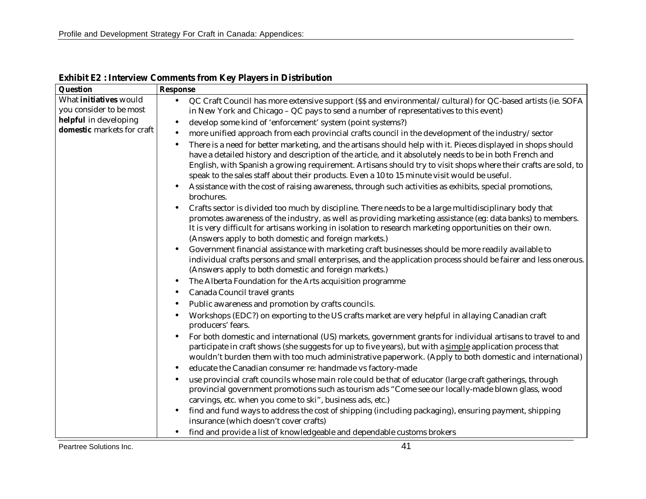| Question                      | <b>Response</b>                                                                                                                                                                                                                                                                                                                                                                                                                                                                                                                                                                                                                                                                                                                                                                                                                                                                                                                                                                                                                                                                                                                                                                                          |  |  |  |  |
|-------------------------------|----------------------------------------------------------------------------------------------------------------------------------------------------------------------------------------------------------------------------------------------------------------------------------------------------------------------------------------------------------------------------------------------------------------------------------------------------------------------------------------------------------------------------------------------------------------------------------------------------------------------------------------------------------------------------------------------------------------------------------------------------------------------------------------------------------------------------------------------------------------------------------------------------------------------------------------------------------------------------------------------------------------------------------------------------------------------------------------------------------------------------------------------------------------------------------------------------------|--|--|--|--|
| What <i>initiatives</i> would | QC Craft Council has more extensive support (\$\$ and environmental/cultural) for QC-based artists (ie. SOFA<br>$\bullet$                                                                                                                                                                                                                                                                                                                                                                                                                                                                                                                                                                                                                                                                                                                                                                                                                                                                                                                                                                                                                                                                                |  |  |  |  |
| you consider to be most       | in New York and Chicago - QC pays to send a number of representatives to this event)                                                                                                                                                                                                                                                                                                                                                                                                                                                                                                                                                                                                                                                                                                                                                                                                                                                                                                                                                                                                                                                                                                                     |  |  |  |  |
| helpful in developing         | develop some kind of 'enforcement' system (point systems?)<br>$\bullet$                                                                                                                                                                                                                                                                                                                                                                                                                                                                                                                                                                                                                                                                                                                                                                                                                                                                                                                                                                                                                                                                                                                                  |  |  |  |  |
| domestic markets for craft    | more unified approach from each provincial crafts council in the development of the industry/sector                                                                                                                                                                                                                                                                                                                                                                                                                                                                                                                                                                                                                                                                                                                                                                                                                                                                                                                                                                                                                                                                                                      |  |  |  |  |
|                               | There is a need for better marketing, and the artisans should help with it. Pieces displayed in shops should<br>$\bullet$<br>have a detailed history and description of the article, and it absolutely needs to be in both French and<br>English, with Spanish a growing requirement. Artisans should try to visit shops where their crafts are sold, to<br>speak to the sales staff about their products. Even a 10 to 15 minute visit would be useful.<br>Assistance with the cost of raising awareness, through such activities as exhibits, special promotions,<br>brochures.<br>Crafts sector is divided too much by discipline. There needs to be a large multidisciplinary body that<br>promotes awareness of the industry, as well as providing marketing assistance (eg: data banks) to members.<br>It is very difficult for artisans working in isolation to research marketing opportunities on their own.<br>(Answers apply to both domestic and foreign markets.)<br>Government financial assistance with marketing craft businesses should be more readily available to<br>individual crafts persons and small enterprises, and the application process should be fairer and less onerous. |  |  |  |  |
|                               | (Answers apply to both domestic and foreign markets.)                                                                                                                                                                                                                                                                                                                                                                                                                                                                                                                                                                                                                                                                                                                                                                                                                                                                                                                                                                                                                                                                                                                                                    |  |  |  |  |
|                               | The Alberta Foundation for the Arts acquisition programme                                                                                                                                                                                                                                                                                                                                                                                                                                                                                                                                                                                                                                                                                                                                                                                                                                                                                                                                                                                                                                                                                                                                                |  |  |  |  |
|                               | Canada Council travel grants<br>$\bullet$                                                                                                                                                                                                                                                                                                                                                                                                                                                                                                                                                                                                                                                                                                                                                                                                                                                                                                                                                                                                                                                                                                                                                                |  |  |  |  |
|                               | Public awareness and promotion by crafts councils.                                                                                                                                                                                                                                                                                                                                                                                                                                                                                                                                                                                                                                                                                                                                                                                                                                                                                                                                                                                                                                                                                                                                                       |  |  |  |  |
|                               | Workshops (EDC?) on exporting to the US crafts market are very helpful in allaying Canadian craft<br>producers' fears.                                                                                                                                                                                                                                                                                                                                                                                                                                                                                                                                                                                                                                                                                                                                                                                                                                                                                                                                                                                                                                                                                   |  |  |  |  |
|                               | For both domestic and international (US) markets, government grants for individual artisans to travel to and<br>participate in craft shows (she suggests for up to five years), but with a simple application process that<br>wouldn't burden them with too much administrative paperwork. (Apply to both domestic and international)<br>educate the Canadian consumer re: handmade vs factory-made                                                                                                                                                                                                                                                                                                                                                                                                                                                                                                                                                                                                                                                                                                                                                                                                      |  |  |  |  |
|                               | use provincial craft councils whose main role could be that of educator (large craft gatherings, through                                                                                                                                                                                                                                                                                                                                                                                                                                                                                                                                                                                                                                                                                                                                                                                                                                                                                                                                                                                                                                                                                                 |  |  |  |  |
|                               | provincial government promotions such as tourism ads "Come see our locally-made blown glass, wood                                                                                                                                                                                                                                                                                                                                                                                                                                                                                                                                                                                                                                                                                                                                                                                                                                                                                                                                                                                                                                                                                                        |  |  |  |  |
|                               | carvings, etc. when you come to ski", business ads, etc.)                                                                                                                                                                                                                                                                                                                                                                                                                                                                                                                                                                                                                                                                                                                                                                                                                                                                                                                                                                                                                                                                                                                                                |  |  |  |  |
|                               | find and fund ways to address the cost of shipping (including packaging), ensuring payment, shipping                                                                                                                                                                                                                                                                                                                                                                                                                                                                                                                                                                                                                                                                                                                                                                                                                                                                                                                                                                                                                                                                                                     |  |  |  |  |
|                               | insurance (which doesn't cover crafts)                                                                                                                                                                                                                                                                                                                                                                                                                                                                                                                                                                                                                                                                                                                                                                                                                                                                                                                                                                                                                                                                                                                                                                   |  |  |  |  |
|                               | find and provide a list of knowledgeable and dependable customs brokers<br>$\bullet$                                                                                                                                                                                                                                                                                                                                                                                                                                                                                                                                                                                                                                                                                                                                                                                                                                                                                                                                                                                                                                                                                                                     |  |  |  |  |
| Peartree Solutions Inc.       | 41                                                                                                                                                                                                                                                                                                                                                                                                                                                                                                                                                                                                                                                                                                                                                                                                                                                                                                                                                                                                                                                                                                                                                                                                       |  |  |  |  |

**Exhibit E2 : Interview Comments from Key Players in Distribution**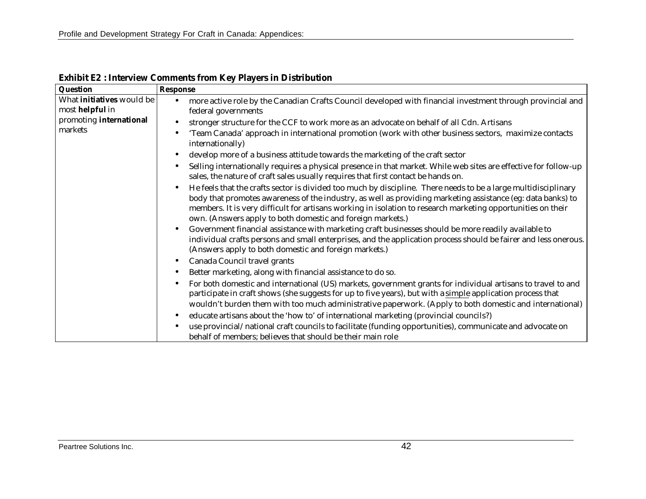| Question                                     | <b>Response</b>                                                                                                                                                                                                                                                                                                                                                                                             |
|----------------------------------------------|-------------------------------------------------------------------------------------------------------------------------------------------------------------------------------------------------------------------------------------------------------------------------------------------------------------------------------------------------------------------------------------------------------------|
| What initiatives would be<br>most helpful in | more active role by the Canadian Crafts Council developed with financial investment through provincial and<br>federal governments                                                                                                                                                                                                                                                                           |
| promoting international<br>markets           | stronger structure for the CCF to work more as an advocate on behalf of all Cdn. Artisans<br>'Team Canada' approach in international promotion (work with other business sectors, maximize contacts                                                                                                                                                                                                         |
|                                              | internationally)<br>develop more of a business attitude towards the marketing of the craft sector                                                                                                                                                                                                                                                                                                           |
|                                              | Selling internationally requires a physical presence in that market. While web sites are effective for follow-up<br>sales, the nature of craft sales usually requires that first contact be hands on.                                                                                                                                                                                                       |
|                                              | He feels that the crafts sector is divided too much by discipline. There needs to be a large multidisciplinary<br>body that promotes awareness of the industry, as well as providing marketing assistance (eg: data banks) to<br>members. It is very difficult for artisans working in isolation to research marketing opportunities on their<br>own. (Answers apply to both domestic and foreign markets.) |
|                                              | Government financial assistance with marketing craft businesses should be more readily available to<br>individual crafts persons and small enterprises, and the application process should be fairer and less onerous.<br>(Answers apply to both domestic and foreign markets.)                                                                                                                             |
|                                              | Canada Council travel grants                                                                                                                                                                                                                                                                                                                                                                                |
|                                              | Better marketing, along with financial assistance to do so.<br>$\bullet$                                                                                                                                                                                                                                                                                                                                    |
|                                              | For both domestic and international (US) markets, government grants for individual artisans to travel to and<br>participate in craft shows (she suggests for up to five years), but with a simple application process that<br>wouldn't burden them with too much administrative paperwork. (Apply to both domestic and international)                                                                       |
|                                              | educate artisans about the 'how to' of international marketing (provincial councils?)                                                                                                                                                                                                                                                                                                                       |
|                                              | use provincial/national craft councils to facilitate (funding opportunities), communicate and advocate on<br>behalf of members; believes that should be their main role                                                                                                                                                                                                                                     |

**Exhibit E2 : Interview Comments from Key Players in Distribution**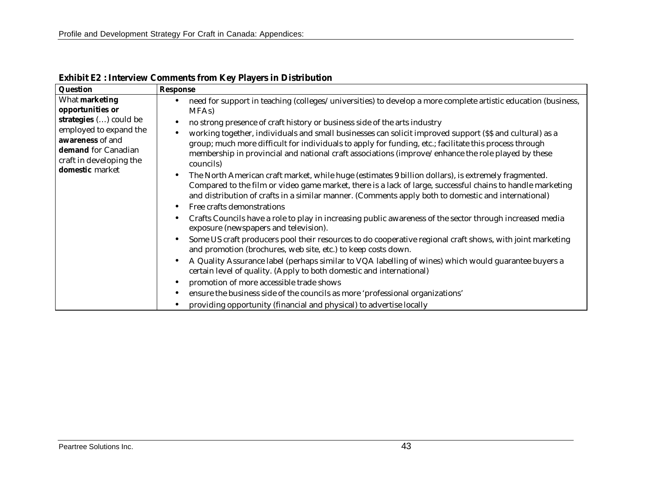| Question                                                                                                                                                                        | <b>Response</b>                                                                                                                                                                                                                                                                                                                                                                                                                                                                                                                                                                                                                                                                                                                                                                                                                                                                                                                                                                                                                                                                                                                                                                                                                                                                                                                                                                                                                                                                                     |
|---------------------------------------------------------------------------------------------------------------------------------------------------------------------------------|-----------------------------------------------------------------------------------------------------------------------------------------------------------------------------------------------------------------------------------------------------------------------------------------------------------------------------------------------------------------------------------------------------------------------------------------------------------------------------------------------------------------------------------------------------------------------------------------------------------------------------------------------------------------------------------------------------------------------------------------------------------------------------------------------------------------------------------------------------------------------------------------------------------------------------------------------------------------------------------------------------------------------------------------------------------------------------------------------------------------------------------------------------------------------------------------------------------------------------------------------------------------------------------------------------------------------------------------------------------------------------------------------------------------------------------------------------------------------------------------------------|
| What marketing<br>opportunities or<br>strategies () could be<br>employed to expand the<br>awareness of and<br>demand for Canadian<br>craft in developing the<br>domestic market | need for support in teaching (colleges/universities) to develop a more complete artistic education (business,<br>MFA <sub>s</sub> )                                                                                                                                                                                                                                                                                                                                                                                                                                                                                                                                                                                                                                                                                                                                                                                                                                                                                                                                                                                                                                                                                                                                                                                                                                                                                                                                                                 |
|                                                                                                                                                                                 | no strong presence of craft history or business side of the arts industry<br>working together, individuals and small businesses can solicit improved support (\$\$ and cultural) as a<br>group; much more difficult for individuals to apply for funding, etc.; facilitate this process through<br>membership in provincial and national craft associations (improve/enhance the role played by these<br>councils)<br>The North American craft market, while huge (estimates 9 billion dollars), is extremely fragmented.<br>Compared to the film or video game market, there is a lack of large, successful chains to handle marketing<br>and distribution of crafts in a similar manner. (Comments apply both to domestic and international)<br>Free crafts demonstrations<br>Crafts Councils have a role to play in increasing public awareness of the sector through increased media<br>exposure (newspapers and television).<br>Some US craft producers pool their resources to do cooperative regional craft shows, with joint marketing<br>and promotion (brochures, web site, etc.) to keep costs down.<br>A Quality Assurance label (perhaps similar to VQA labelling of wines) which would guarantee buyers a<br>certain level of quality. (Apply to both domestic and international)<br>promotion of more accessible trade shows<br>ensure the business side of the councils as more 'professional organizations'<br>providing opportunity (financial and physical) to advertise locally |

**Exhibit E2 : Interview Comments from Key Players in Distribution**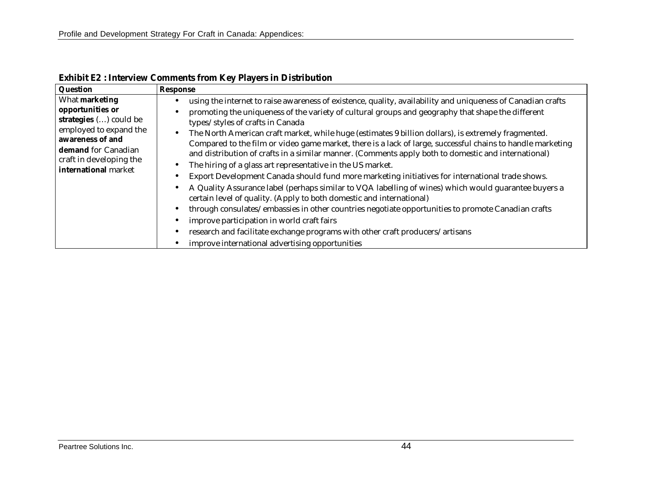| Question                                                                                                                                                                             | <b>Response</b>                                                                                                                                                                                                                                                                                                                                                                                                                                                                                                                                                                                                                                                                                                                                                                                                                                                                                                                                                                                                                                                                                                                                                                                                           |
|--------------------------------------------------------------------------------------------------------------------------------------------------------------------------------------|---------------------------------------------------------------------------------------------------------------------------------------------------------------------------------------------------------------------------------------------------------------------------------------------------------------------------------------------------------------------------------------------------------------------------------------------------------------------------------------------------------------------------------------------------------------------------------------------------------------------------------------------------------------------------------------------------------------------------------------------------------------------------------------------------------------------------------------------------------------------------------------------------------------------------------------------------------------------------------------------------------------------------------------------------------------------------------------------------------------------------------------------------------------------------------------------------------------------------|
| What marketing<br>opportunities or<br>strategies () could be<br>employed to expand the<br>awareness of and<br>demand for Canadian<br>craft in developing the<br>international market | using the internet to raise awareness of existence, quality, availability and uniqueness of Canadian crafts<br>promoting the uniqueness of the variety of cultural groups and geography that shape the different<br>types/styles of crafts in Canada<br>The North American craft market, while huge (estimates 9 billion dollars), is extremely fragmented.<br>Compared to the film or video game market, there is a lack of large, successful chains to handle marketing<br>and distribution of crafts in a similar manner. (Comments apply both to domestic and international)<br>The hiring of a glass art representative in the US market.<br>Export Development Canada should fund more marketing initiatives for international trade shows.<br>A Quality Assurance label (perhaps similar to VQA labelling of wines) which would guarantee buyers a<br>certain level of quality. (Apply to both domestic and international)<br>through consulates/embassies in other countries negotiate opportunities to promote Canadian crafts<br>improve participation in world craft fairs<br>research and facilitate exchange programs with other craft producers/artisans<br>improve international advertising opportunities |

**Exhibit E2 : Interview Comments from Key Players in Distribution**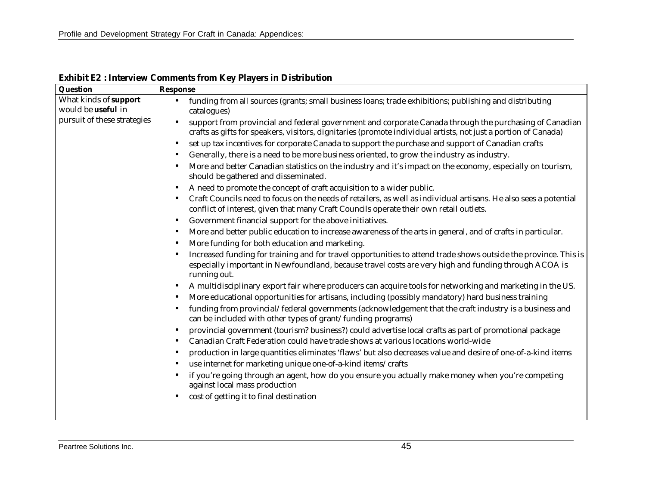| Question                                    | <b>Response</b>                                                                                                                                                                                                                         |  |  |  |  |  |
|---------------------------------------------|-----------------------------------------------------------------------------------------------------------------------------------------------------------------------------------------------------------------------------------------|--|--|--|--|--|
| What kinds of support<br>would be useful in | funding from all sources (grants; small business loans; trade exhibitions; publishing and distributing<br>$\bullet$<br>catalogues)                                                                                                      |  |  |  |  |  |
| pursuit of these strategies                 | support from provincial and federal government and corporate Canada through the purchasing of Canadian<br>crafts as gifts for speakers, visitors, dignitaries (promote individual artists, not just a portion of Canada)                |  |  |  |  |  |
|                                             | set up tax incentives for corporate Canada to support the purchase and support of Canadian crafts                                                                                                                                       |  |  |  |  |  |
|                                             | Generally, there is a need to be more business oriented, to grow the industry as industry.                                                                                                                                              |  |  |  |  |  |
|                                             | More and better Canadian statistics on the industry and it's impact on the economy, especially on tourism,<br>should be gathered and disseminated.                                                                                      |  |  |  |  |  |
|                                             | A need to promote the concept of craft acquisition to a wider public.                                                                                                                                                                   |  |  |  |  |  |
|                                             | Craft Councils need to focus on the needs of retailers, as well as individual artisans. He also sees a potential<br>conflict of interest, given that many Craft Councils operate their own retail outlets.                              |  |  |  |  |  |
|                                             | Government financial support for the above initiatives.<br>$\bullet$                                                                                                                                                                    |  |  |  |  |  |
|                                             | More and better public education to increase awareness of the arts in general, and of crafts in particular.                                                                                                                             |  |  |  |  |  |
|                                             | More funding for both education and marketing.                                                                                                                                                                                          |  |  |  |  |  |
|                                             | Increased funding for training and for travel opportunities to attend trade shows outside the province. This is<br>especially important in Newfoundland, because travel costs are very high and funding through ACOA is<br>running out. |  |  |  |  |  |
|                                             | A multidisciplinary export fair where producers can acquire tools for networking and marketing in the US.<br>More educational opportunities for artisans, including (possibly mandatory) hard business training                         |  |  |  |  |  |
|                                             | funding from provincial/federal governments (acknowledgement that the craft industry is a business and<br>can be included with other types of grant/funding programs)                                                                   |  |  |  |  |  |
|                                             | provincial government (tourism? business?) could advertise local crafts as part of promotional package<br>Canadian Craft Federation could have trade shows at various locations world-wide                                              |  |  |  |  |  |
|                                             | production in large quantities eliminates 'flaws' but also decreases value and desire of one-of-a-kind items<br>use internet for marketing unique one-of-a-kind items/crafts                                                            |  |  |  |  |  |
|                                             | if you're going through an agent, how do you ensure you actually make money when you're competing<br>against local mass production                                                                                                      |  |  |  |  |  |
|                                             | cost of getting it to final destination                                                                                                                                                                                                 |  |  |  |  |  |
|                                             |                                                                                                                                                                                                                                         |  |  |  |  |  |

**Exhibit E2 : Interview Comments from Key Players in Distribution**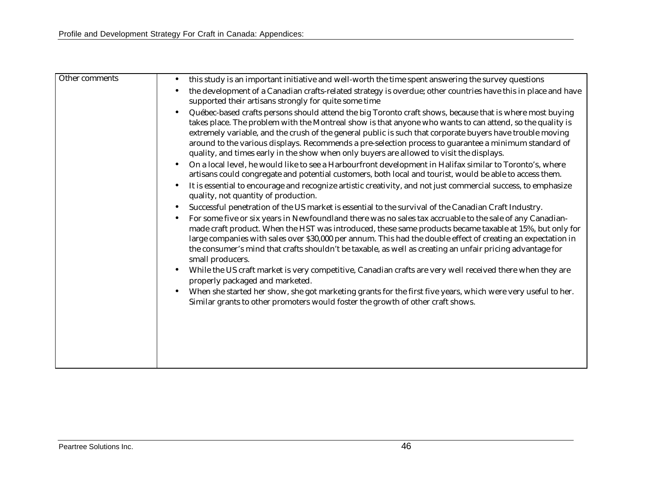| Other comments | this study is an important initiative and well-worth the time spent answering the survey questions<br>$\bullet$                                                                                                                                                                                                                                                                                                                                                                                                                         |
|----------------|-----------------------------------------------------------------------------------------------------------------------------------------------------------------------------------------------------------------------------------------------------------------------------------------------------------------------------------------------------------------------------------------------------------------------------------------------------------------------------------------------------------------------------------------|
|                | the development of a Canadian crafts-related strategy is overdue; other countries have this in place and have<br>supported their artisans strongly for quite some time                                                                                                                                                                                                                                                                                                                                                                  |
|                | Québec-based crafts persons should attend the big Toronto craft shows, because that is where most buying<br>takes place. The problem with the Montreal show is that anyone who wants to can attend, so the quality is<br>extremely variable, and the crush of the general public is such that corporate buyers have trouble moving<br>around to the various displays. Recommends a pre-selection process to guarantee a minimum standard of<br>quality, and times early in the show when only buyers are allowed to visit the displays. |
|                | On a local level, he would like to see a Harbourfront development in Halifax similar to Toronto's, where<br>$\bullet$<br>artisans could congregate and potential customers, both local and tourist, would be able to access them.                                                                                                                                                                                                                                                                                                       |
|                | It is essential to encourage and recognize artistic creativity, and not just commercial success, to emphasize<br>$\bullet$<br>quality, not quantity of production.                                                                                                                                                                                                                                                                                                                                                                      |
|                | Successful penetration of the US market is essential to the survival of the Canadian Craft Industry.<br>$\bullet$                                                                                                                                                                                                                                                                                                                                                                                                                       |
|                | For some five or six years in Newfoundland there was no sales tax accruable to the sale of any Canadian-<br>made craft product. When the HST was introduced, these same products became taxable at 15%, but only for<br>large companies with sales over \$30,000 per annum. This had the double effect of creating an expectation in<br>the consumer's mind that crafts shouldn't be taxable, as well as creating an unfair pricing advantage for<br>small producers.                                                                   |
|                | While the US craft market is very competitive, Canadian crafts are very well received there when they are<br>properly packaged and marketed.                                                                                                                                                                                                                                                                                                                                                                                            |
|                | When she started her show, she got marketing grants for the first five years, which were very useful to her.<br>Similar grants to other promoters would foster the growth of other craft shows.                                                                                                                                                                                                                                                                                                                                         |
|                |                                                                                                                                                                                                                                                                                                                                                                                                                                                                                                                                         |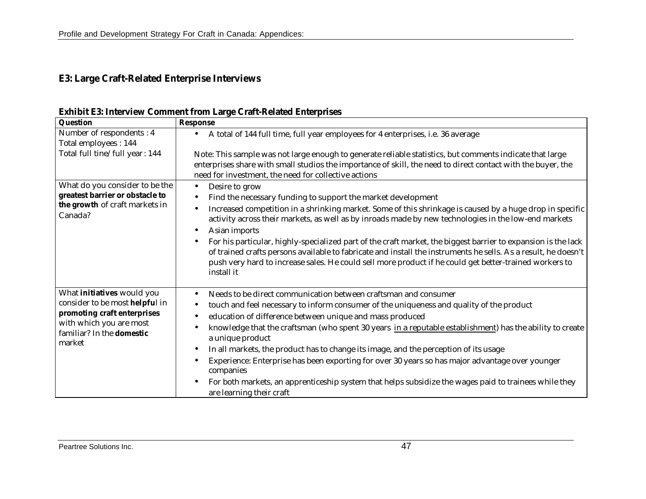## **E3: Large Craft-Related Enterprise Interviews**

| <b>Question</b>                                                       | <b>Response</b>                                                                                                                                                                                                                                                                                                                                         |  |  |  |  |  |  |  |
|-----------------------------------------------------------------------|---------------------------------------------------------------------------------------------------------------------------------------------------------------------------------------------------------------------------------------------------------------------------------------------------------------------------------------------------------|--|--|--|--|--|--|--|
| Number of respondents: 4                                              | A total of 144 full time, full year employees for 4 enterprises, i.e. 36 average                                                                                                                                                                                                                                                                        |  |  |  |  |  |  |  |
| Total employees: 144                                                  |                                                                                                                                                                                                                                                                                                                                                         |  |  |  |  |  |  |  |
| Total full tine/full year: 144                                        | Note: This sample was not large enough to generate reliable statistics, but comments indicate that large                                                                                                                                                                                                                                                |  |  |  |  |  |  |  |
|                                                                       | enterprises share with small studios the importance of skill, the need to direct contact with the buyer, the                                                                                                                                                                                                                                            |  |  |  |  |  |  |  |
|                                                                       | need for investment, the need for collective actions                                                                                                                                                                                                                                                                                                    |  |  |  |  |  |  |  |
| What do you consider to be the                                        | Desire to grow<br>$\bullet$                                                                                                                                                                                                                                                                                                                             |  |  |  |  |  |  |  |
| greatest barrier or obstacle to                                       | Find the necessary funding to support the market development                                                                                                                                                                                                                                                                                            |  |  |  |  |  |  |  |
| the growth of craft markets in<br>Canada?                             | Increased competition in a shrinking market. Some of this shrinkage is caused by a huge drop in specific<br>activity across their markets, as well as by inroads made by new technologies in the low-end markets                                                                                                                                        |  |  |  |  |  |  |  |
|                                                                       | Asian imports                                                                                                                                                                                                                                                                                                                                           |  |  |  |  |  |  |  |
|                                                                       | For his particular, highly-specialized part of the craft market, the biggest barrier to expansion is the lack<br>of trained crafts persons available to fabricate and install the instruments he sells. As a result, he doesn't<br>push very hard to increase sales. He could sell more product if he could get better-trained workers to<br>install it |  |  |  |  |  |  |  |
| What <i>initiatives</i> would you                                     | Needs to be direct communication between craftsman and consumer                                                                                                                                                                                                                                                                                         |  |  |  |  |  |  |  |
| consider to be most helpful in                                        | touch and feel necessary to inform consumer of the uniqueness and quality of the product                                                                                                                                                                                                                                                                |  |  |  |  |  |  |  |
| promoting craft enterprises                                           | education of difference between unique and mass produced                                                                                                                                                                                                                                                                                                |  |  |  |  |  |  |  |
| with which you are most<br>familiar? In the <b>domestic</b><br>market | knowledge that the craftsman (who spent 30 years in a reputable establishment) has the ability to create<br>a unique product                                                                                                                                                                                                                            |  |  |  |  |  |  |  |
|                                                                       | In all markets, the product has to change its image, and the perception of its usage                                                                                                                                                                                                                                                                    |  |  |  |  |  |  |  |
|                                                                       | Experience: Enterprise has been exporting for over 30 years so has major advantage over younger<br>companies                                                                                                                                                                                                                                            |  |  |  |  |  |  |  |
|                                                                       | For both markets, an apprenticeship system that helps subsidize the wages paid to trainees while they<br>are learning their craft                                                                                                                                                                                                                       |  |  |  |  |  |  |  |

**Exhibit E3: Interview Comment from Large Craft-Related Enterprises**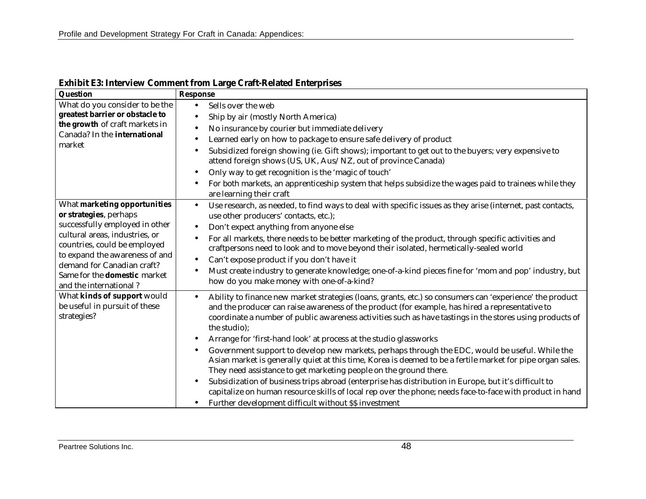| Question                                                                                         | <b>Response</b>                                                                                                                                                                                                                                                                   |  |  |  |  |
|--------------------------------------------------------------------------------------------------|-----------------------------------------------------------------------------------------------------------------------------------------------------------------------------------------------------------------------------------------------------------------------------------|--|--|--|--|
| What do you consider to be the                                                                   | Sells over the web<br>$\bullet$                                                                                                                                                                                                                                                   |  |  |  |  |
| greatest barrier or obstacle to                                                                  | Ship by air (mostly North America)<br>$\bullet$                                                                                                                                                                                                                                   |  |  |  |  |
| the growth of craft markets in                                                                   | No insurance by courier but immediate delivery                                                                                                                                                                                                                                    |  |  |  |  |
| Canada? In the international                                                                     | Learned early on how to package to ensure safe delivery of product                                                                                                                                                                                                                |  |  |  |  |
| market                                                                                           | Subsidized foreign showing (ie. Gift shows); important to get out to the buyers; very expensive to<br>$\bullet$<br>attend foreign shows (US, UK, Aus/NZ, out of province Canada)                                                                                                  |  |  |  |  |
|                                                                                                  | Only way to get recognition is the 'magic of touch'<br>$\bullet$                                                                                                                                                                                                                  |  |  |  |  |
|                                                                                                  | For both markets, an apprenticeship system that helps subsidize the wages paid to trainees while they<br>are learning their craft                                                                                                                                                 |  |  |  |  |
| What marketing opportunities                                                                     | Use research, as needed, to find ways to deal with specific issues as they arise (internet, past contacts,<br>$\bullet$                                                                                                                                                           |  |  |  |  |
| or strategies, perhaps                                                                           | use other producers' contacts, etc.);                                                                                                                                                                                                                                             |  |  |  |  |
| successfully employed in other                                                                   | Don't expect anything from anyone else                                                                                                                                                                                                                                            |  |  |  |  |
| cultural areas, industries, or<br>countries, could be employed<br>to expand the awareness of and | For all markets, there needs to be better marketing of the product, through specific activities and                                                                                                                                                                               |  |  |  |  |
|                                                                                                  | craftpersons need to look and to move beyond their isolated, hermetically-sealed world                                                                                                                                                                                            |  |  |  |  |
| demand for Canadian craft?                                                                       | Can't expose product if you don't have it                                                                                                                                                                                                                                         |  |  |  |  |
| Same for the <b>domestic</b> market<br>and the international?                                    | Must create industry to generate knowledge; one-of-a-kind pieces fine for 'mom and pop' industry, but<br>$\bullet$<br>how do you make money with one-of-a-kind?                                                                                                                   |  |  |  |  |
| What kinds of support would<br>be useful in pursuit of these                                     | Ability to finance new market strategies (loans, grants, etc.) so consumers can 'experience' the product<br>$\bullet$<br>and the producer can raise awareness of the product (for example, has hired a representative to                                                          |  |  |  |  |
| strategies?                                                                                      | coordinate a number of public awareness activities such as have tastings in the stores using products of<br>the studio);                                                                                                                                                          |  |  |  |  |
|                                                                                                  | Arrange for 'first-hand look' at process at the studio glassworks                                                                                                                                                                                                                 |  |  |  |  |
|                                                                                                  | Government support to develop new markets, perhaps through the EDC, would be useful. While the<br>Asian market is generally quiet at this time, Korea is deemed to be a fertile market for pipe organ sales.<br>They need assistance to get marketing people on the ground there. |  |  |  |  |
|                                                                                                  | Subsidization of business trips abroad (enterprise has distribution in Europe, but it's difficult to                                                                                                                                                                              |  |  |  |  |
|                                                                                                  | capitalize on human resource skills of local rep over the phone; needs face-to-face with product in hand                                                                                                                                                                          |  |  |  |  |
|                                                                                                  | Further development difficult without \$\$ investment                                                                                                                                                                                                                             |  |  |  |  |

**Exhibit E3: Interview Comment from Large Craft-Related Enterprises**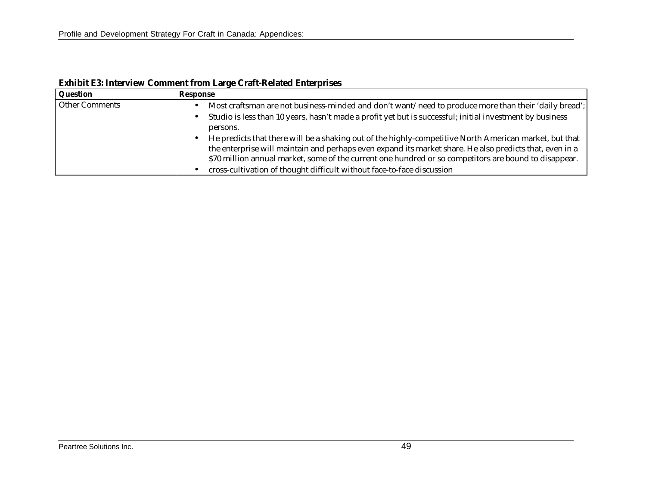| Question              | Response                                                                                                                                                                                                                                                                                                                   |
|-----------------------|----------------------------------------------------------------------------------------------------------------------------------------------------------------------------------------------------------------------------------------------------------------------------------------------------------------------------|
| <b>Other Comments</b> | Most craftsman are not business-minded and don't want/need to produce more than their 'daily bread';                                                                                                                                                                                                                       |
|                       | Studio is less than 10 years, hasn't made a profit yet but is successful; initial investment by business<br>persons.                                                                                                                                                                                                       |
|                       | He predicts that there will be a shaking out of the highly-competitive North American market, but that<br>the enterprise will maintain and perhaps even expand its market share. He also predicts that, even in a<br>\$70 million annual market, some of the current one hundred or so competitors are bound to disappear. |
|                       | cross-cultivation of thought difficult without face-to-face discussion                                                                                                                                                                                                                                                     |

**Exhibit E3: Interview Comment from Large Craft-Related Enterprises**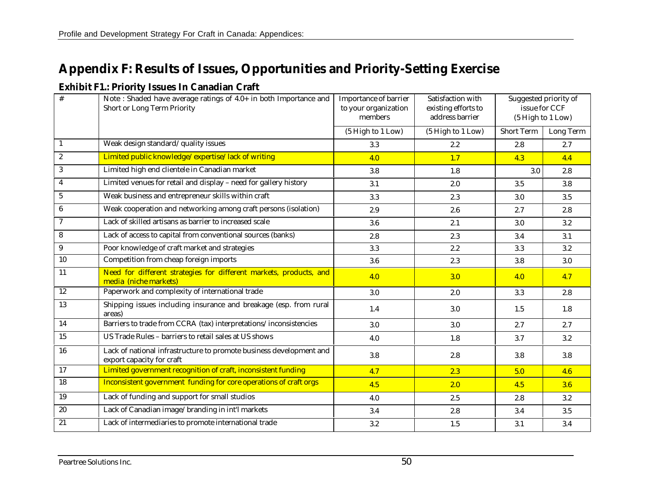# **Appendix F: Results of Issues, Opportunities and Priority-Setting Exercise**

#### **Exhibit F1.: Priority Issues In Canadian Craft**

| #                | Note: Shaded have average ratings of 4.0+ in both Importance and<br>Short or Long Term Priority  | <b>Importance of barrier</b><br>to your organization<br>members | Satisfaction with<br>existing efforts to<br>address barrier | Suggested priority of<br>issue for CCF<br>(5 High to 1 Low) |           |
|------------------|--------------------------------------------------------------------------------------------------|-----------------------------------------------------------------|-------------------------------------------------------------|-------------------------------------------------------------|-----------|
|                  |                                                                                                  | (5 High to 1 Low)                                               | (5 High to 1 Low)                                           | <b>Short Term</b>                                           | Long Term |
| $\mathbf{1}$     | Weak design standard/quality issues                                                              | 3.3                                                             | $2.2\,$                                                     | 2.8                                                         | 2.7       |
| $\sqrt{2}$       | Limited public knowledge/expertise/lack of writing                                               | 4.0                                                             | 1.7                                                         | 4.3                                                         | 4.4       |
| $\sqrt{3}$       | Limited high end clientele in Canadian market                                                    | 3.8                                                             | 1.8                                                         | 3.0                                                         | 2.8       |
| $\overline{4}$   | Limited venues for retail and display - need for gallery history                                 | 3.1                                                             | 2.0                                                         | 3.5                                                         | $3.8\,$   |
| $\bf 5$          | Weak business and entrepreneur skills within craft                                               | 3.3                                                             | 2.3                                                         | 3.0                                                         | 3.5       |
| $\bf 6$          | Weak cooperation and networking among craft persons (isolation)                                  | 2.9                                                             | 2.6                                                         | 2.7                                                         | 2.8       |
| $\overline{7}$   | Lack of skilled artisans as barrier to increased scale                                           | 3.6                                                             | 2.1                                                         | 3.0                                                         | $3.2\,$   |
| $\bf 8$          | Lack of access to capital from conventional sources (banks)                                      | 2.8                                                             | 2.3                                                         | 3.4                                                         | 3.1       |
| $\boldsymbol{9}$ | Poor knowledge of craft market and strategies                                                    | 3.3                                                             | $2.2\,$                                                     | 3.3                                                         | 3.2       |
| 10               | Competition from cheap foreign imports                                                           | 3.6                                                             | 2.3                                                         | 3.8                                                         | 3.0       |
| 11               | Need for different strategies for different markets, products, and<br>media (niche markets)      | 4.0                                                             | 3.0                                                         | 4.0                                                         | 4.7       |
| 12               | Paperwork and complexity of international trade                                                  | 3.0                                                             | 2.0                                                         | 3.3                                                         | 2.8       |
| 13               | Shipping issues including insurance and breakage (esp. from rural<br>areas)                      | 1.4                                                             | $3.0\,$                                                     | 1.5                                                         | 1.8       |
| 14               | Barriers to trade from CCRA (tax) interpretations/inconsistencies                                | 3.0                                                             | 3.0                                                         | 2.7                                                         | 2.7       |
| 15               | US Trade Rules - barriers to retail sales at US shows                                            | 4.0                                                             | 1.8                                                         | 3.7                                                         | $3.2\,$   |
| 16               | Lack of national infrastructure to promote business development and<br>export capacity for craft | 3.8                                                             | 2.8                                                         | 3.8                                                         | $3.8\,$   |
| 17               | Limited government recognition of craft, inconsistent funding                                    | 4.7                                                             | 2.3                                                         | 5.0                                                         | 4.6       |
| 18               | Inconsistent government funding for core operations of craft orgs                                | 4.5                                                             | 2.0                                                         | 4.5                                                         | 3.6       |
| 19               | Lack of funding and support for small studios                                                    | 4.0                                                             | 2.5                                                         | 2.8                                                         | $3.2\,$   |
| 20               | Lack of Canadian image/branding in int'l markets                                                 | 3.4                                                             | 2.8                                                         | 3.4                                                         | 3.5       |
| 21               | Lack of intermediaries to promote international trade                                            | 3.2                                                             | 1.5                                                         | 3.1                                                         | 3.4       |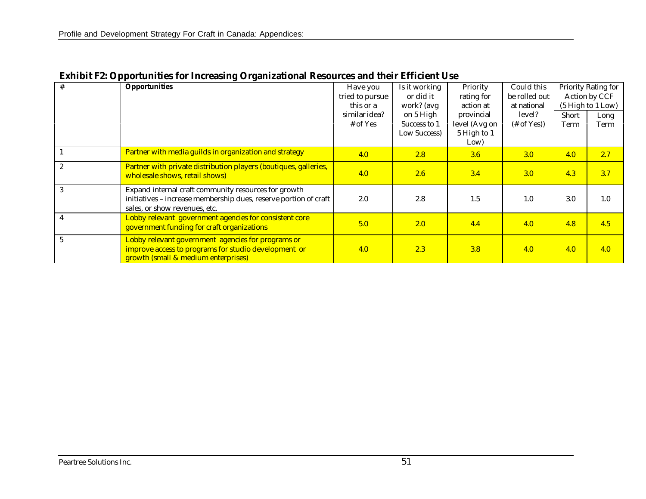| $\#$           | <b>Opportunities</b>                                                                                                                                      | Have you<br>tried to pursue<br>this or a<br>similar idea?<br>$#$ of Yes | Is it working<br>or did it<br>work? (avg<br>on 5 High<br>Success to 1<br>Low Success) | Priority<br>rating for<br>action at<br>provincial<br>level (Avg on<br>5 High to 1 | Could this<br>be rolled out<br>at national<br>level?<br>$#$ of Yes)) | Short<br>Term | Priority Rating for<br>Action by CCF<br>(5 High to 1 Low)<br>Long<br>Term |
|----------------|-----------------------------------------------------------------------------------------------------------------------------------------------------------|-------------------------------------------------------------------------|---------------------------------------------------------------------------------------|-----------------------------------------------------------------------------------|----------------------------------------------------------------------|---------------|---------------------------------------------------------------------------|
|                | Partner with media guilds in organization and strategy                                                                                                    | 4.0                                                                     | 2.8                                                                                   | Low)<br>3.6                                                                       | 3.0                                                                  | 4.0           | 2.7                                                                       |
| $\overline{2}$ | Partner with private distribution players (boutiques, galleries,<br>wholesale shows, retail shows)                                                        | 4.0                                                                     | 2.6                                                                                   | 3.4                                                                               | 3.0                                                                  | 4.3           | 3.7                                                                       |
| 3              | Expand internal craft community resources for growth<br>initiatives - increase membership dues, reserve portion of craft<br>sales, or show revenues, etc. | 2.0                                                                     | 2.8                                                                                   | 1.5                                                                               | 1.0                                                                  | 3.0           | 1.0                                                                       |
|                | Lobby relevant government agencies for consistent core<br>government funding for craft organizations                                                      | 5.0                                                                     | 2.0                                                                                   | 4.4                                                                               | 4.0                                                                  | 4.8           | 4.5                                                                       |
|                | Lobby relevant government agencies for programs or<br>improve access to programs for studio development or<br>growth (small & medium enterprises)         | 4.0                                                                     | 2.3                                                                                   | 3.8                                                                               | 4.0                                                                  | 4.0           | 4.0                                                                       |

**Exhibit F2: Opportunities for Increasing Organizational Resources and their Efficient Use**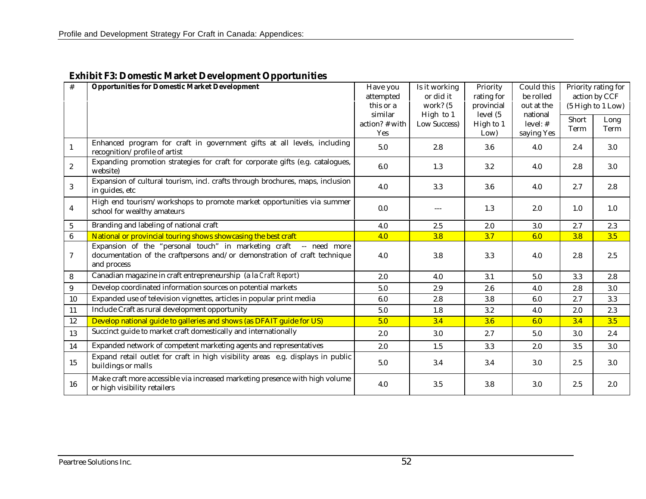| #          | <b>Opportunities for Domestic Market Development</b>                                                                                                             | Have you         | Is it working | Priority   | Could this | Priority rating for<br>action by CCF<br>(5 High to 1 Low) |      |
|------------|------------------------------------------------------------------------------------------------------------------------------------------------------------------|------------------|---------------|------------|------------|-----------------------------------------------------------|------|
|            |                                                                                                                                                                  | attempted        | or did it     | rating for | be rolled  |                                                           |      |
|            |                                                                                                                                                                  | this or a        | work? (5      | provincial | out at the |                                                           |      |
|            |                                                                                                                                                                  | similar          | High to 1     | level (5)  | national   | Short                                                     | Long |
|            |                                                                                                                                                                  | $action?$ # with | Low Success)  | High to 1  | level: $#$ | Term                                                      | Term |
|            |                                                                                                                                                                  | Yes              |               | Low)       | saying Yes |                                                           |      |
| 1          | Enhanced program for craft in government gifts at all levels, including<br>recognition/profile of artist                                                         | 5.0              | 2.8           | 3.6        | 4.0        | 2.4                                                       | 3.0  |
| $\sqrt{2}$ | Expanding promotion strategies for craft for corporate gifts (e.g. catalogues,<br>website)                                                                       | 6.0              | 1.3           | $3.2\,$    | 4.0        | 2.8                                                       | 3.0  |
| 3          | Expansion of cultural tourism, incl. crafts through brochures, maps, inclusion<br>in guides, etc                                                                 | 4.0              | 3.3           | 3.6        | 4.0        | 2.7                                                       | 2.8  |
| 4          | High end tourism/workshops to promote market opportunities via summer<br>school for wealthy amateurs                                                             | 0.0              | $---$         | 1.3        | 2.0        | 1.0                                                       | 1.0  |
| $\sqrt{5}$ | Branding and labeling of national craft                                                                                                                          | 4.0              | 2.5           | 2.0        | 3.0        | 2.7                                                       | 2.3  |
| 6          | National or provincial touring shows showcasing the best craft                                                                                                   | 4.0              | 3.8           | 3.7        | 6.0        | 3.8                                                       | 3.5  |
| $\tau$     | Expansion of the "personal touch" in marketing craft<br>-- need more<br>documentation of the craftpersons and/or demonstration of craft technique<br>and process | 4.0              | 3.8           | 3.3        | 4.0        | 2.8                                                       | 2.5  |
| 8          | Canadian magazine in craft entrepreneurship (a la Craft Report)                                                                                                  | 2.0              | 4.0           | 3.1        | 5.0        | 3.3                                                       | 2.8  |
| 9          | Develop coordinated information sources on potential markets                                                                                                     | 5.0              | 2.9           | 2.6        | 4.0        | 2.8                                                       | 3.0  |
| 10         | Expanded use of television vignettes, articles in popular print media                                                                                            | 6.0              | 2.8           | 3.8        | 6.0        | 2.7                                                       | 3.3  |
| 11         | Include Craft as rural development opportunity                                                                                                                   | 5.0              | 1.8           | 3.2        | 4.0        | 2.0                                                       | 2.3  |
| 12         | Develop national guide to galleries and shows (as DFAIT guide for US)                                                                                            | 5.0              | 3.4           | 3.6        | 6.0        | 3.4                                                       | 3.5  |
| 13         | Succinct guide to market craft domestically and internationally                                                                                                  | 2.0              | 3.0           | 2.7        | 5.0        | 3.0                                                       | 2.4  |
| 14         | Expanded network of competent marketing agents and representatives                                                                                               | 2.0              | 1.5           | 3.3        | 2.0        | 3.5                                                       | 3.0  |
| 15         | Expand retail outlet for craft in high visibility areas e.g. displays in public<br>buildings or malls                                                            | 5.0              | 3.4           | 3.4        | 3.0        | $2.5\,$                                                   | 3.0  |
| 16         | Make craft more accessible via increased marketing presence with high volume<br>or high visibility retailers                                                     | 4.0              | 3.5           | 3.8        | 3.0        | 2.5                                                       | 2.0  |

## **Exhibit F3: Domestic Market Development Opportunities**